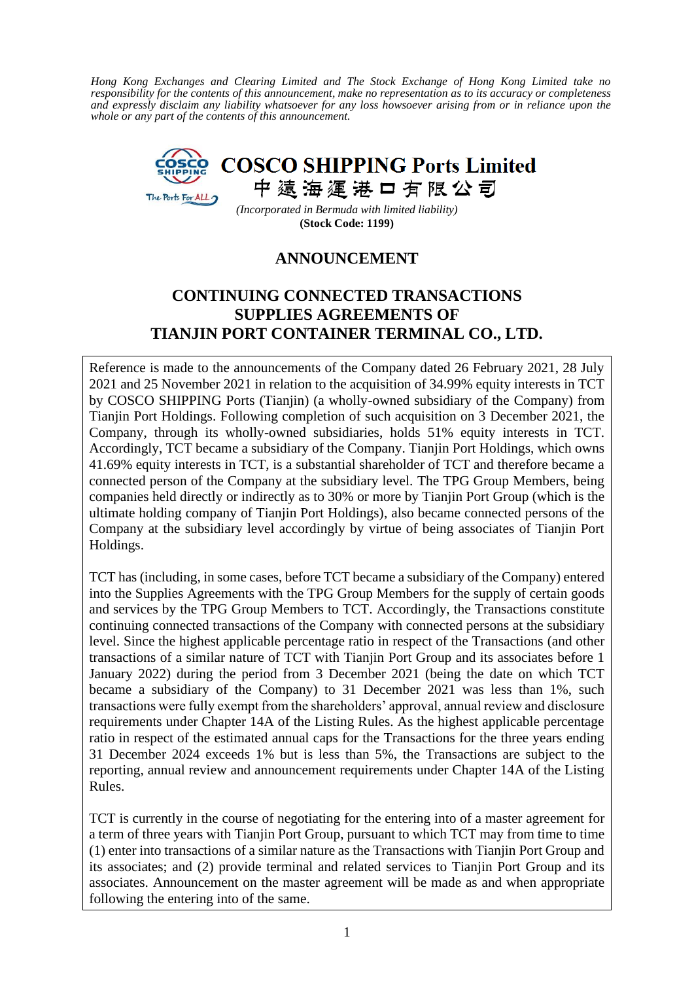*Hong Kong Exchanges and Clearing Limited and The Stock Exchange of Hong Kong Limited take no responsibility for the contents of this announcement, make no representation as to its accuracy or completeness and expressly disclaim any liability whatsoever for any loss howsoever arising from or in reliance upon the whole or any part of the contents of this announcement.*



*(Incorporated in Bermuda with limited liability)* **(Stock Code: 1199)**

## **ANNOUNCEMENT**

# **CONTINUING CONNECTED TRANSACTIONS SUPPLIES AGREEMENTS OF TIANJIN PORT CONTAINER TERMINAL CO., LTD.**

Reference is made to the announcements of the Company dated 26 February 2021, 28 July 2021 and 25 November 2021 in relation to the acquisition of 34.99% equity interests in TCT by COSCO SHIPPING Ports (Tianjin) (a wholly-owned subsidiary of the Company) from Tianjin Port Holdings. Following completion of such acquisition on 3 December 2021, the Company, through its wholly-owned subsidiaries, holds 51% equity interests in TCT. Accordingly, TCT became a subsidiary of the Company. Tianjin Port Holdings, which owns 41.69% equity interests in TCT, is a substantial shareholder of TCT and therefore became a connected person of the Company at the subsidiary level. The TPG Group Members, being companies held directly or indirectly as to 30% or more by Tianjin Port Group (which is the ultimate holding company of Tianjin Port Holdings), also became connected persons of the Company at the subsidiary level accordingly by virtue of being associates of Tianjin Port Holdings.

TCT has (including, in some cases, before TCT became a subsidiary of the Company) entered into the Supplies Agreements with the TPG Group Members for the supply of certain goods and services by the TPG Group Members to TCT. Accordingly, the Transactions constitute continuing connected transactions of the Company with connected persons at the subsidiary level. Since the highest applicable percentage ratio in respect of the Transactions (and other transactions of a similar nature of TCT with Tianjin Port Group and its associates before 1 January 2022) during the period from 3 December 2021 (being the date on which TCT became a subsidiary of the Company) to 31 December 2021 was less than 1%, such transactions were fully exempt from the shareholders' approval, annual review and disclosure requirements under Chapter 14A of the Listing Rules. As the highest applicable percentage ratio in respect of the estimated annual caps for the Transactions for the three years ending 31 December 2024 exceeds 1% but is less than 5%, the Transactions are subject to the reporting, annual review and announcement requirements under Chapter 14A of the Listing Rules.

TCT is currently in the course of negotiating for the entering into of a master agreement for a term of three years with Tianjin Port Group, pursuant to which TCT may from time to time (1) enter into transactions of a similar nature as the Transactions with Tianjin Port Group and its associates; and (2) provide terminal and related services to Tianjin Port Group and its associates. Announcement on the master agreement will be made as and when appropriate following the entering into of the same.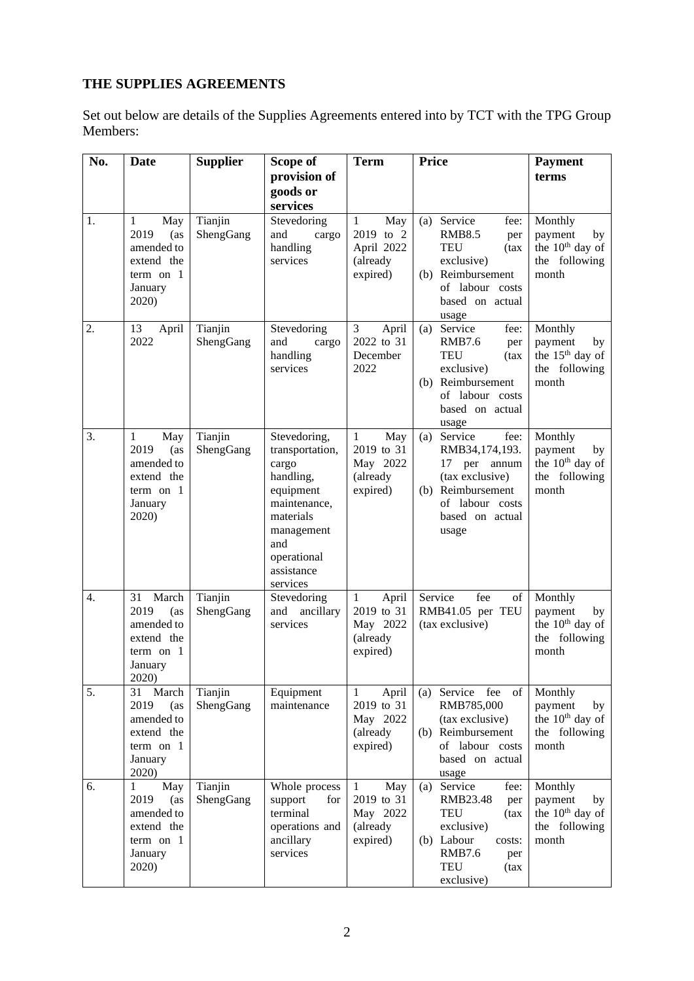# **THE SUPPLIES AGREEMENTS**

Set out below are details of the Supplies Agreements entered into by TCT with the TPG Group Members:

| No. | Date                                                                                              | <b>Supplier</b>      | Scope of                                                                                                                                                      | <b>Term</b>                                                             | <b>Price</b>                                                                                                                                                    | <b>Payment</b>                                                                    |
|-----|---------------------------------------------------------------------------------------------------|----------------------|---------------------------------------------------------------------------------------------------------------------------------------------------------------|-------------------------------------------------------------------------|-----------------------------------------------------------------------------------------------------------------------------------------------------------------|-----------------------------------------------------------------------------------|
|     |                                                                                                   |                      | provision of<br>goods or<br>services                                                                                                                          |                                                                         |                                                                                                                                                                 | terms                                                                             |
| 1.  | $\mathbf{1}$<br>May<br>2019<br>(as<br>amended to<br>extend the<br>term on $1$<br>January<br>2020) | Tianjin<br>ShengGang | Stevedoring<br>and<br>cargo<br>handling<br>services                                                                                                           | May<br>$\mathbf{1}$<br>2019 to 2<br>April 2022<br>(already<br>expired)  | (a) Service<br>fee:<br><b>RMB8.5</b><br>per<br><b>TEU</b><br>(tax<br>exclusive)<br>(b) Reimbursement<br>of labour costs<br>based on actual<br>usage             | Monthly<br>payment<br>by<br>the 10 <sup>th</sup> day of<br>the following<br>month |
| 2.  | 13<br>April<br>2022                                                                               | Tianjin<br>ShengGang | Stevedoring<br>and<br>cargo<br>handling<br>services                                                                                                           | April<br>3<br>2022 to 31<br>December<br>2022                            | Service<br>fee:<br>(a)<br><b>RMB7.6</b><br>per<br><b>TEU</b><br>(tax<br>exclusive)<br>(b) Reimbursement<br>of labour costs<br>based on actual<br>usage          | Monthly<br>payment<br>by<br>the 15 <sup>th</sup> day of<br>the following<br>month |
| 3.  | May<br>$\mathbf{1}$<br>2019<br>(as<br>amended to<br>extend the<br>term on $1$<br>January<br>2020) | Tianjin<br>ShengGang | Stevedoring,<br>transportation,<br>cargo<br>handling,<br>equipment<br>maintenance,<br>materials<br>management<br>and<br>operational<br>assistance<br>services | May<br>$\mathbf{1}$<br>2019 to 31<br>May 2022<br>(already<br>expired)   | Service<br>fee:<br>(a)<br>RMB34,174,193.<br>17<br>per annum<br>(tax exclusive)<br>(b) Reimbursement<br>of labour costs<br>based on actual<br>usage              | Monthly<br>payment<br>by<br>the 10 <sup>th</sup> day of<br>the following<br>month |
| 4.  | March<br>31<br>2019<br>(as<br>amended to<br>extend the<br>term on $1$<br>January<br>2020)         | Tianjin<br>ShengGang | Stevedoring<br>ancillary<br>and<br>services                                                                                                                   | April<br>1<br>2019 to 31<br>May 2022<br>(already<br>expired)            | Service<br>fee<br>of<br>RMB41.05 per TEU<br>(tax exclusive)                                                                                                     | Monthly<br>payment<br>by<br>the 10 <sup>th</sup> day of<br>the following<br>month |
| 5.  | 31<br>March<br>2019<br>(as<br>amended to<br>extend the<br>term on $1$<br>January<br>2020)         | Tianjin<br>ShengGang | Equipment<br>maintenance                                                                                                                                      | April<br>$\mathbf{1}$<br>2019 to 31<br>May 2022<br>(already<br>expired) | (a) Service fee<br>of<br>RMB785,000<br>(tax exclusive)<br>(b) Reimbursement<br>of labour costs<br>based on actual<br>usage                                      | Monthly<br>payment<br>by<br>the 10 <sup>th</sup> day of<br>the following<br>month |
| 6.  | May<br>$\mathbf{1}$<br>2019<br>(as<br>amended to<br>extend the<br>term on $1$<br>January<br>2020) | Tianjin<br>ShengGang | Whole process<br>support<br>for<br>terminal<br>operations and<br>ancillary<br>services                                                                        | May<br>$\mathbf{1}$<br>2019 to 31<br>May 2022<br>(already<br>expired)   | (a) Service<br>fee:<br>RMB23.48<br>per<br><b>TEU</b><br>(tax<br>exclusive)<br>(b) Labour<br>costs:<br><b>RMB7.6</b><br>per<br><b>TEU</b><br>(tax)<br>exclusive) | Monthly<br>payment<br>by<br>the 10 <sup>th</sup> day of<br>the following<br>month |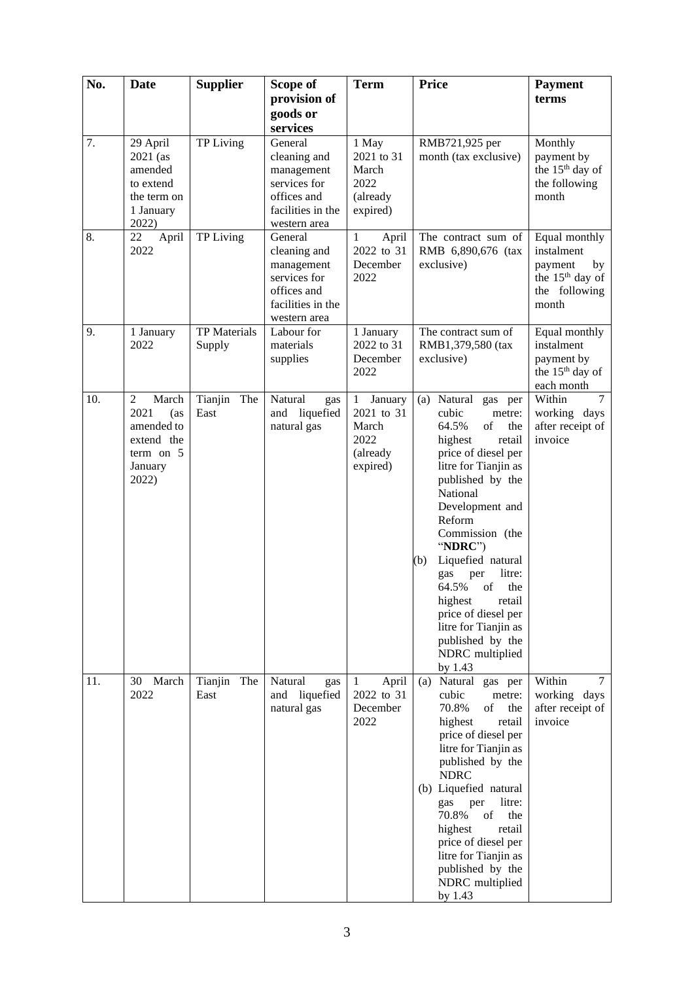| No. | <b>Date</b>                                                                                           | <b>Supplier</b>               | Scope of                                                                                                  | <b>Term</b>                                                         | <b>Price</b>                                                                                                                                                                                                                                                                                                                                                                                                                   | <b>Payment</b>                                                                                        |
|-----|-------------------------------------------------------------------------------------------------------|-------------------------------|-----------------------------------------------------------------------------------------------------------|---------------------------------------------------------------------|--------------------------------------------------------------------------------------------------------------------------------------------------------------------------------------------------------------------------------------------------------------------------------------------------------------------------------------------------------------------------------------------------------------------------------|-------------------------------------------------------------------------------------------------------|
|     |                                                                                                       |                               | provision of<br>goods or<br>services                                                                      |                                                                     |                                                                                                                                                                                                                                                                                                                                                                                                                                | terms                                                                                                 |
| 7.  | 29 April<br>$2021$ (as<br>amended<br>to extend<br>the term on<br>1 January<br>2022)                   | <b>TP</b> Living              | General<br>cleaning and<br>management<br>services for<br>offices and<br>facilities in the<br>western area | 1 May<br>2021 to 31<br>March<br>2022<br>(already<br>expired)        | RMB721,925 per<br>month (tax exclusive)                                                                                                                                                                                                                                                                                                                                                                                        | Monthly<br>payment by<br>the 15 <sup>th</sup> day of<br>the following<br>month                        |
| 8.  | 22<br>April<br>2022                                                                                   | TP Living                     | General<br>cleaning and<br>management<br>services for<br>offices and<br>facilities in the<br>western area | April<br>1<br>2022 to 31<br>December<br>2022                        | The contract sum of<br>RMB 6,890,676 (tax<br>exclusive)                                                                                                                                                                                                                                                                                                                                                                        | Equal monthly<br>instalment<br>payment<br>by<br>the 15 <sup>th</sup> day of<br>the following<br>month |
| 9.  | 1 January<br>2022                                                                                     | <b>TP</b> Materials<br>Supply | Labour for<br>materials<br>supplies                                                                       | 1 January<br>2022 to 31<br>December<br>2022                         | The contract sum of<br>RMB1,379,580 (tax<br>exclusive)                                                                                                                                                                                                                                                                                                                                                                         | Equal monthly<br>instalment<br>payment by<br>the 15 <sup>th</sup> day of<br>each month                |
| 10. | $\overline{2}$<br>March<br>2021<br>(as<br>amended to<br>extend the<br>term on $5$<br>January<br>2022) | Tianjin The<br>East           | Natural<br>gas<br>liquefied<br>and<br>natural gas                                                         | January<br>1<br>2021 to 31<br>March<br>2022<br>(already<br>expired) | Natural gas per<br>(a)<br>cubic<br>metre:<br>64.5%<br>of<br>the<br>highest<br>retail<br>price of diesel per<br>litre for Tianjin as<br>published by the<br>National<br>Development and<br>Reform<br>Commission (the<br>"NDRC")<br>Liquefied natural<br>(b)<br>litre:<br>gas<br>per<br>of<br>64.5%<br>the<br>highest<br>retail<br>price of diesel per<br>litre for Tianjin as<br>published by the<br>NDRC multiplied<br>by 1.43 | $\overline{7}$<br>Within<br>working days<br>after receipt of<br>invoice                               |
| 11. | March<br>30<br>2022                                                                                   | Tianjin The<br>East           | Natural<br>gas<br>and liquefied<br>natural gas                                                            | April<br>$\mathbf{1}$<br>2022 to 31<br>December<br>2022             | (a) Natural gas per<br>cubic<br>metre:<br>70.8%<br>of<br>the<br>highest<br>retail<br>price of diesel per<br>litre for Tianjin as<br>published by the<br><b>NDRC</b><br>(b) Liquefied natural<br>per<br>litre:<br>gas<br>of<br>70.8%<br>the<br>highest<br>retail<br>price of diesel per<br>litre for Tianjin as<br>published by the<br>NDRC multiplied<br>by 1.43                                                               | Within<br>$\tau$<br>working days<br>after receipt of<br>invoice                                       |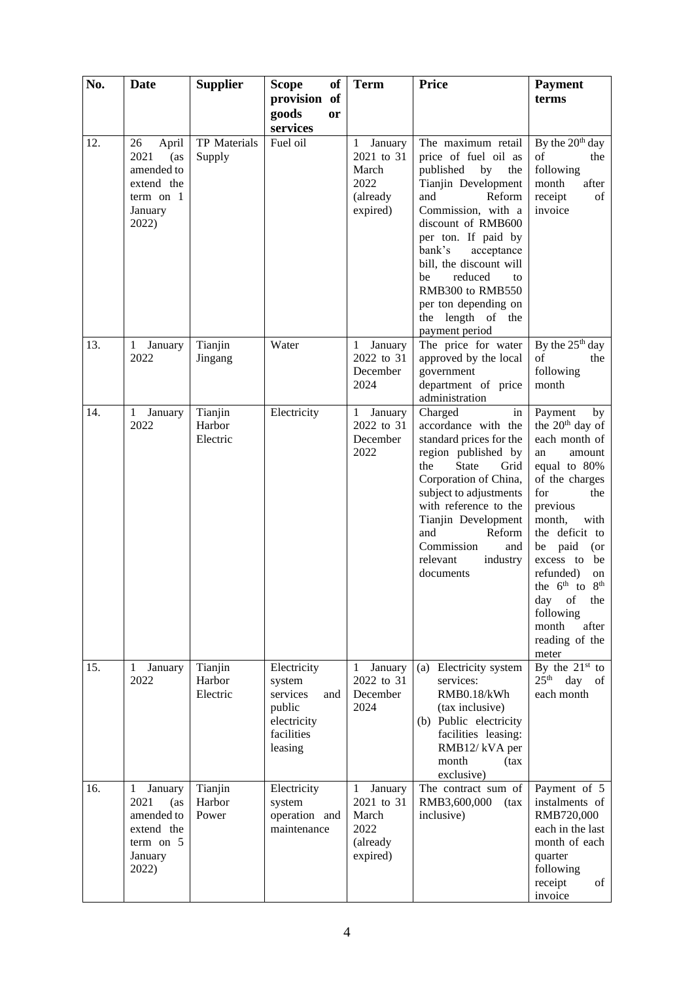| No. | Date                                                                                                  | <b>Supplier</b>               | of<br><b>Scope</b><br>provision of                                                         | <b>Term</b>                                                                    | <b>Price</b>                                                                                                                                                                                                                                                                                                                                 | <b>Payment</b><br>terms                                                                                                                                                                                                                                                                                                                               |
|-----|-------------------------------------------------------------------------------------------------------|-------------------------------|--------------------------------------------------------------------------------------------|--------------------------------------------------------------------------------|----------------------------------------------------------------------------------------------------------------------------------------------------------------------------------------------------------------------------------------------------------------------------------------------------------------------------------------------|-------------------------------------------------------------------------------------------------------------------------------------------------------------------------------------------------------------------------------------------------------------------------------------------------------------------------------------------------------|
|     |                                                                                                       |                               | goods<br>or<br>services                                                                    |                                                                                |                                                                                                                                                                                                                                                                                                                                              |                                                                                                                                                                                                                                                                                                                                                       |
| 12. | 26<br>April<br>2021<br>(as<br>amended to<br>extend the<br>term on $1$<br>January<br>2022)             | TP Materials<br>Supply        | Fuel oil                                                                                   | January<br>$\mathbf{1}$<br>2021 to 31<br>March<br>2022<br>(already<br>expired) | The maximum retail<br>price of fuel oil as<br>published<br>by<br>the<br>Tianjin Development<br>and<br>Reform<br>Commission, with a<br>discount of RMB600<br>per ton. If paid by<br>bank's<br>acceptance<br>bill, the discount will<br>reduced<br>be<br>to<br>RMB300 to RMB550<br>per ton depending on<br>the length of the<br>payment period | By the 20 <sup>th</sup> day<br>of<br>the<br>following<br>after<br>month<br>receipt<br>of<br>invoice                                                                                                                                                                                                                                                   |
| 13. | January<br>$\mathbf{1}$<br>2022                                                                       | Tianjin<br>Jingang            | Water                                                                                      | January<br>1<br>2022 to 31<br>December<br>2024                                 | The price for water<br>approved by the local<br>government<br>department of price<br>administration                                                                                                                                                                                                                                          | By the $25th$ day<br>of<br>the<br>following<br>month                                                                                                                                                                                                                                                                                                  |
| 14. | January<br>$\mathbf{1}$<br>2022                                                                       | Tianjin<br>Harbor<br>Electric | Electricity                                                                                | January<br>$\mathbf{1}$<br>2022 to 31<br>December<br>2022                      | Charged<br>in<br>accordance with the<br>standard prices for the<br>region published by<br>the<br><b>State</b><br>Grid<br>Corporation of China,<br>subject to adjustments<br>with reference to the<br>Tianjin Development<br>and<br>Reform<br>Commission<br>and<br>relevant<br>industry<br>documents                                          | Payment<br>by<br>the 20 <sup>th</sup> day of<br>each month of<br>an<br>amount<br>equal to 80%<br>of the charges<br>for<br>the<br>previous<br>month,<br>with<br>the deficit to<br>paid<br>be<br>$($ or<br>excess to<br>be<br>refunded)<br>on<br>the $6^{th}$ to $8^{th}$<br>day<br>of<br>the<br>following<br>after<br>month<br>reading of the<br>meter |
| 15. | 1<br>January<br>2022                                                                                  | Tianjin<br>Harbor<br>Electric | Electricity<br>system<br>services<br>and<br>public<br>electricity<br>facilities<br>leasing | January<br>$\mathbf{1}$<br>2022 to 31<br>December<br>2024                      | Electricity system<br>(a)<br>services:<br>RMB0.18/kWh<br>(tax inclusive)<br>(b) Public electricity<br>facilities leasing:<br>RMB12/kVA per<br>month<br>(tax<br>exclusive)                                                                                                                                                                    | By the $21^{st}$ to<br>25 <sup>th</sup><br>day<br>of<br>each month                                                                                                                                                                                                                                                                                    |
| 16. | January<br>$\mathbf{1}$<br>2021<br>(as<br>amended to<br>extend the<br>term on $5$<br>January<br>2022) | Tianjin<br>Harbor<br>Power    | Electricity<br>system<br>operation and<br>maintenance                                      | January<br>1<br>2021 to 31<br>March<br>2022<br>(already<br>expired)            | The contract sum of<br>RMB3,600,000<br>(tax<br>inclusive)                                                                                                                                                                                                                                                                                    | Payment of 5<br>instalments of<br>RMB720,000<br>each in the last<br>month of each<br>quarter<br>following<br>receipt<br>of<br>invoice                                                                                                                                                                                                                 |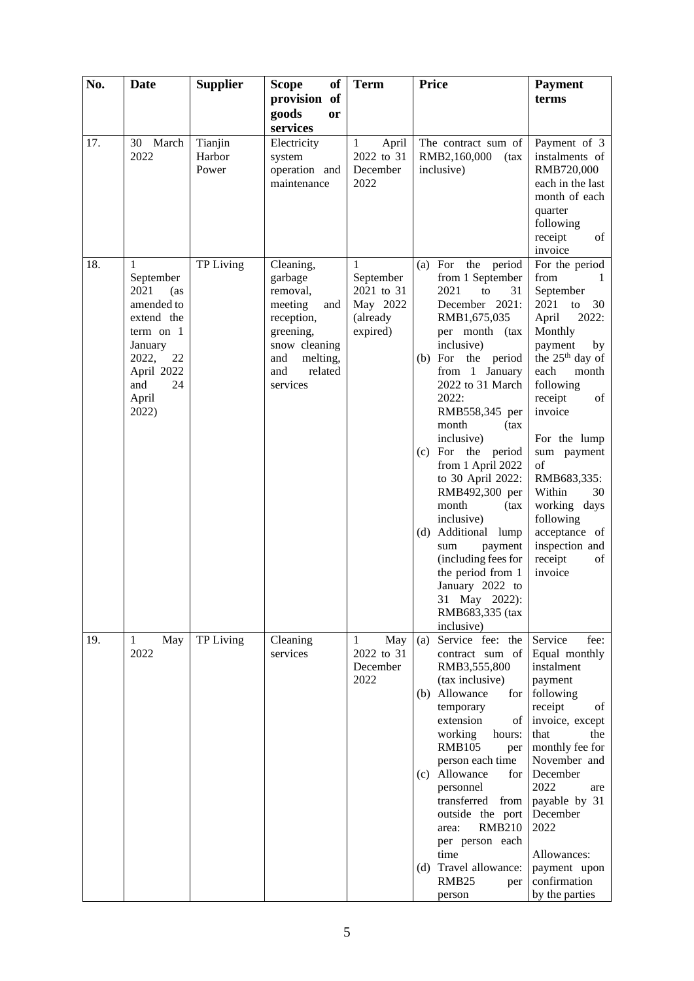| No. | Date                | <b>Supplier</b> | <b>Scope</b><br>of         | <b>Term</b>           | <b>Price</b>                       | <b>Payment</b>               |
|-----|---------------------|-----------------|----------------------------|-----------------------|------------------------------------|------------------------------|
|     |                     |                 | provision of               |                       |                                    | terms                        |
|     |                     |                 | goods<br>or                |                       |                                    |                              |
|     |                     |                 | services                   |                       |                                    |                              |
| 17. | 30 March            | Tianjin         | Electricity                | April<br>$\mathbf{1}$ | The contract sum of                | Payment of 3                 |
|     | 2022                | Harbor          | system                     | 2022 to 31            | RMB2,160,000<br>(tax               | instalments of               |
|     |                     | Power           | operation and              | December              | inclusive)                         | RMB720,000                   |
|     |                     |                 | maintenance                | 2022                  |                                    | each in the last             |
|     |                     |                 |                            |                       |                                    | month of each                |
|     |                     |                 |                            |                       |                                    | quarter                      |
|     |                     |                 |                            |                       |                                    | following<br>receipt<br>of   |
|     |                     |                 |                            |                       |                                    | invoice                      |
| 18. | 1                   | TP Living       | Cleaning,                  | 1                     | For<br>the period<br>(a)           | For the period               |
|     | September           |                 | garbage                    | September             | from 1 September                   | from                         |
|     | 2021<br>(as         |                 | removal,                   | 2021 to 31            | 2021<br>to<br>31                   | September                    |
|     | amended to          |                 | meeting<br>and             | May 2022              | December 2021:                     | 2021<br>to<br>30             |
|     | extend the          |                 | reception,                 | (already              | RMB1,675,035                       | April<br>2022:               |
|     | term on $1$         |                 | greening,                  | expired)              | per month (tax                     | Monthly                      |
|     | January             |                 | snow cleaning              |                       | inclusive)                         | payment<br>by                |
|     | 2022,<br>22         |                 | melting,<br>and            |                       | (b) For the period                 | the 25 <sup>th</sup> day of  |
|     | April 2022<br>24    |                 | and<br>related<br>services |                       | from 1 January<br>2022 to 31 March | each<br>month<br>following   |
|     | and<br>April        |                 |                            |                       | 2022:                              | receipt<br>of                |
|     | 2022)               |                 |                            |                       | RMB558,345 per                     | invoice                      |
|     |                     |                 |                            |                       | month<br>(tax                      |                              |
|     |                     |                 |                            |                       | inclusive)                         | For the lump                 |
|     |                     |                 |                            |                       | (c) For the period                 | sum payment                  |
|     |                     |                 |                            |                       | from 1 April 2022                  | of                           |
|     |                     |                 |                            |                       | to 30 April 2022:                  | RMB683,335:                  |
|     |                     |                 |                            |                       | RMB492,300 per                     | Within<br>30                 |
|     |                     |                 |                            |                       | month<br>(tax                      | working days                 |
|     |                     |                 |                            |                       | inclusive)<br>(d) Additional lump  | following<br>acceptance of   |
|     |                     |                 |                            |                       | sum<br>payment                     | inspection and               |
|     |                     |                 |                            |                       | (including fees for                | receipt<br>of                |
|     |                     |                 |                            |                       | the period from 1                  | invoice                      |
|     |                     |                 |                            |                       | January 2022 to                    |                              |
|     |                     |                 |                            |                       | 31 May 2022):                      |                              |
|     |                     |                 |                            |                       | RMB683,335 (tax                    |                              |
|     |                     |                 |                            |                       | inclusive)                         |                              |
| 19. | $\mathbf{1}$<br>May | TP Living       | Cleaning                   | May<br>$\mathbf{1}$   | Service fee: the<br>(a)            | Service<br>fee:              |
|     | 2022                |                 | services                   | 2022 to 31            | contract sum of                    | Equal monthly<br>instalment  |
|     |                     |                 |                            | December<br>2022      | RMB3,555,800<br>(tax inclusive)    | payment                      |
|     |                     |                 |                            |                       | (b) Allowance<br>for               | following                    |
|     |                     |                 |                            |                       | temporary                          | receipt<br>of                |
|     |                     |                 |                            |                       | extension<br>of                    | invoice, except              |
|     |                     |                 |                            |                       | working<br>hours:                  | that<br>the                  |
|     |                     |                 |                            |                       | <b>RMB105</b><br>per               | monthly fee for              |
|     |                     |                 |                            |                       | person each time                   | November and                 |
|     |                     |                 |                            |                       | Allowance<br>for<br>(c)            | December                     |
|     |                     |                 |                            |                       | personnel<br>transferred from      | 2022<br>are<br>payable by 31 |
|     |                     |                 |                            |                       | outside the port                   | December                     |
|     |                     |                 |                            |                       | <b>RMB210</b><br>area:             | 2022                         |
|     |                     |                 |                            |                       | per person each                    |                              |
|     |                     |                 |                            |                       | time                               | Allowances:                  |
|     |                     |                 |                            |                       | (d) Travel allowance:              | payment upon                 |
|     |                     |                 |                            |                       | RMB <sub>25</sub><br>per           | confirmation                 |
|     |                     |                 |                            |                       | person                             | by the parties               |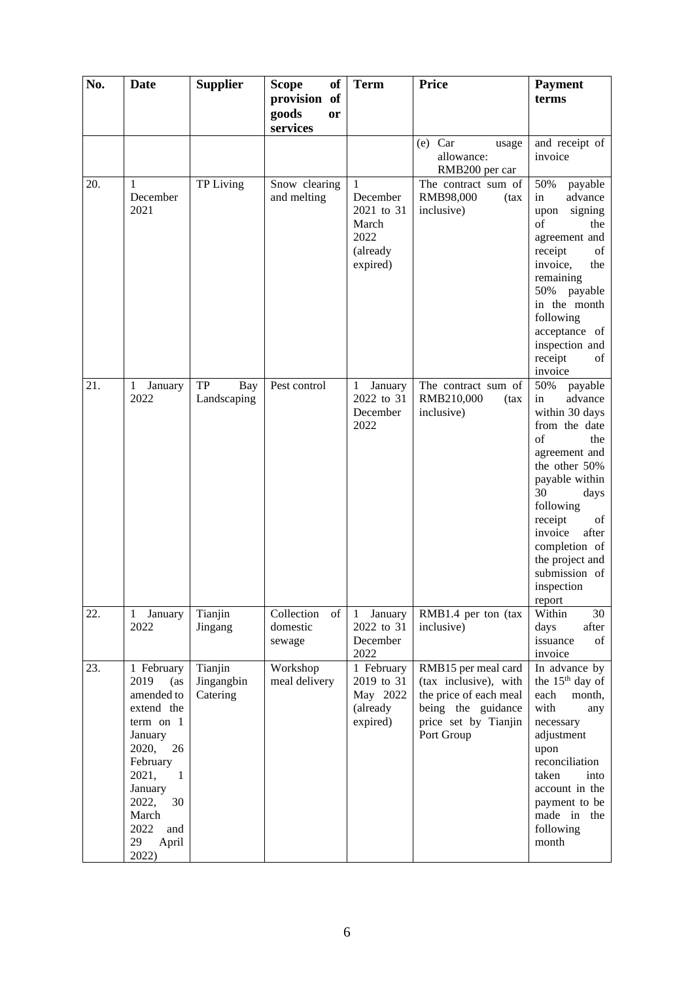| No. | <b>Date</b>                                                                                                                                                                                       | <b>Supplier</b>                   | <b>of</b><br><b>Scope</b>               | <b>Term</b>                                                                     | <b>Price</b>                                                                                                                       | <b>Payment</b>                                                                                                                                                                                                                                                                   |
|-----|---------------------------------------------------------------------------------------------------------------------------------------------------------------------------------------------------|-----------------------------------|-----------------------------------------|---------------------------------------------------------------------------------|------------------------------------------------------------------------------------------------------------------------------------|----------------------------------------------------------------------------------------------------------------------------------------------------------------------------------------------------------------------------------------------------------------------------------|
|     |                                                                                                                                                                                                   |                                   | provision of<br>goods<br>or<br>services |                                                                                 |                                                                                                                                    | terms                                                                                                                                                                                                                                                                            |
|     |                                                                                                                                                                                                   |                                   |                                         |                                                                                 | $(e)$ Car<br>usage<br>allowance:<br>RMB200 per car                                                                                 | and receipt of<br>invoice                                                                                                                                                                                                                                                        |
| 20. | 1<br>December<br>2021                                                                                                                                                                             | TP Living                         | Snow clearing<br>and melting            | $\mathbf{1}$<br>December<br>2021 to 31<br>March<br>2022<br>(already<br>expired) | The contract sum of<br>RMB98,000<br>(tax<br>inclusive)                                                                             | 50%<br>payable<br>advance<br>in<br>signing<br>upon<br>of<br>the<br>agreement and<br>receipt<br>of<br>invoice,<br>the<br>remaining<br>50%<br>payable<br>in the month<br>following<br>acceptance of<br>inspection and<br>receipt<br>οf<br>invoice                                  |
| 21. | January<br>$\mathbf{1}$<br>2022                                                                                                                                                                   | TP<br><b>Bay</b><br>Landscaping   | Pest control                            | January<br>1<br>2022 to 31<br>December<br>2022                                  | The contract sum of<br>RMB210,000<br>(tax)<br>inclusive)                                                                           | 50%<br>payable<br>advance<br>in<br>within 30 days<br>from the date<br>of<br>the<br>agreement and<br>the other 50%<br>payable within<br>30<br>days<br>following<br>receipt<br>of<br>invoice<br>after<br>completion of<br>the project and<br>submission of<br>inspection<br>report |
| 22. | January<br>1<br>2022                                                                                                                                                                              | Tianjin<br>Jingang                | Collection<br>of<br>domestic<br>sewage  | January<br>-1<br>2022 to 31<br>December<br>2022                                 | RMB1.4 per ton (tax<br>inclusive)                                                                                                  | 30<br>Within<br>days<br>after<br>issuance<br>of<br>invoice                                                                                                                                                                                                                       |
| 23. | 1 February<br>2019<br>(as<br>amended to<br>extend the<br>term on 1<br>January<br>2020,<br>26<br>February<br>2021,<br>-1<br>January<br>2022,<br>30<br>March<br>2022<br>and<br>29<br>April<br>2022) | Tianjin<br>Jingangbin<br>Catering | Workshop<br>meal delivery               | 1 February<br>2019 to 31<br>May 2022<br>(already<br>expired)                    | RMB15 per meal card<br>(tax inclusive), with<br>the price of each meal<br>being the guidance<br>price set by Tianjin<br>Port Group | In advance by<br>the 15 <sup>th</sup> day of<br>each<br>month,<br>with<br>any<br>necessary<br>adjustment<br>upon<br>reconciliation<br>taken<br>into<br>account in the<br>payment to be<br>made in the<br>following<br>month                                                      |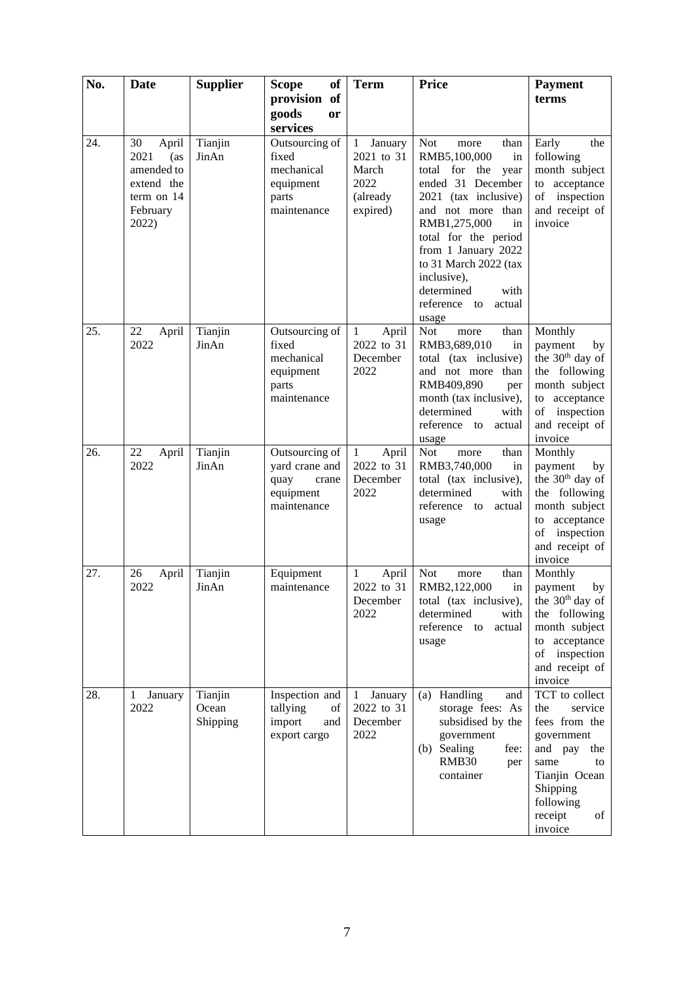| No. | Date                                                                                      | <b>Supplier</b>              | <b>Scope</b><br>of                                                            | <b>Term</b>                                                                    | <b>Price</b>                                                                                                                                                                                                                                                                                                      | <b>Payment</b>                                                                                                                                                        |
|-----|-------------------------------------------------------------------------------------------|------------------------------|-------------------------------------------------------------------------------|--------------------------------------------------------------------------------|-------------------------------------------------------------------------------------------------------------------------------------------------------------------------------------------------------------------------------------------------------------------------------------------------------------------|-----------------------------------------------------------------------------------------------------------------------------------------------------------------------|
|     |                                                                                           |                              | provision of                                                                  |                                                                                |                                                                                                                                                                                                                                                                                                                   | terms                                                                                                                                                                 |
|     |                                                                                           |                              | goods<br>or<br>services                                                       |                                                                                |                                                                                                                                                                                                                                                                                                                   |                                                                                                                                                                       |
| 24. | 30<br>April<br>2021<br>(as<br>amended to<br>extend the<br>term on 14<br>February<br>2022) | Tianjin<br>JinAn             | Outsourcing of<br>fixed<br>mechanical<br>equipment<br>parts<br>maintenance    | January<br>$\mathbf{1}$<br>2021 to 31<br>March<br>2022<br>(already<br>expired) | <b>Not</b><br>than<br>more<br>RMB5,100,000<br>in<br>total for the<br>year<br>ended 31 December<br>2021 (tax inclusive)<br>and not more than<br>RMB1,275,000<br>in<br>total for the period<br>from 1 January 2022<br>to 31 March 2022 (tax<br>inclusive),<br>determined<br>with<br>reference to<br>actual<br>usage | Early<br>the<br>following<br>month subject<br>to acceptance<br>of inspection<br>and receipt of<br>invoice                                                             |
| 25. | 22<br>April<br>2022                                                                       | Tianjin<br>JinAn             | Outsourcing of<br>fixed<br>mechanical<br>equipment<br>parts<br>maintenance    | $\mathbf{1}$<br>April<br>2022 to 31<br>December<br>2022                        | <b>Not</b><br>than<br>more<br>RMB3,689,010<br>in<br>total (tax inclusive)<br>and not more than<br>RMB409,890<br>per<br>month (tax inclusive),<br>determined<br>with<br>reference to actual<br>usage                                                                                                               | Monthly<br>payment<br>by<br>the 30 <sup>th</sup> day of<br>the following<br>month subject<br>acceptance<br>to<br>of inspection<br>and receipt of<br>invoice           |
| 26. | 22<br>April<br>2022                                                                       | Tianjin<br>JinAn             | Outsourcing of<br>yard crane and<br>quay<br>crane<br>equipment<br>maintenance | $\mathbf{1}$<br>April<br>2022 to 31<br>December<br>2022                        | <b>Not</b><br>than<br>more<br>RMB3,740,000<br>in<br>total (tax inclusive),<br>determined<br>with<br>reference to<br>actual<br>usage                                                                                                                                                                               | Monthly<br>payment<br>by<br>the 30 <sup>th</sup> day of<br>the following<br>month subject<br>to acceptance<br>of inspection<br>and receipt of<br>invoice              |
| 27. | 26<br>April<br>2022                                                                       | Tianjin<br>JinAn             | Equipment<br>maintenance                                                      | April<br>1<br>2022 to 31<br>December<br>2022                                   | <b>Not</b><br>than<br>more<br>RMB2,122,000<br>in<br>total (tax inclusive),<br>determined<br>with<br>reference<br>actual<br>to<br>usage                                                                                                                                                                            | Monthly<br>payment<br>by<br>the $30th$ day of<br>the following<br>month subject<br>acceptance<br>to<br>inspection<br>of<br>and receipt of<br>invoice                  |
| 28. | January<br>1<br>2022                                                                      | Tianjin<br>Ocean<br>Shipping | Inspection and<br>tallying<br>of<br>import<br>and<br>export cargo             | January<br>$\mathbf{1}$<br>2022 to 31<br>December<br>2022                      | (a) Handling<br>and<br>storage fees: As<br>subsidised by the<br>government<br>Sealing<br>(b)<br>fee:<br>RMB30<br>per<br>container                                                                                                                                                                                 | TCT to collect<br>the<br>service<br>fees from the<br>government<br>and pay<br>the<br>same<br>to<br>Tianjin Ocean<br>Shipping<br>following<br>receipt<br>of<br>invoice |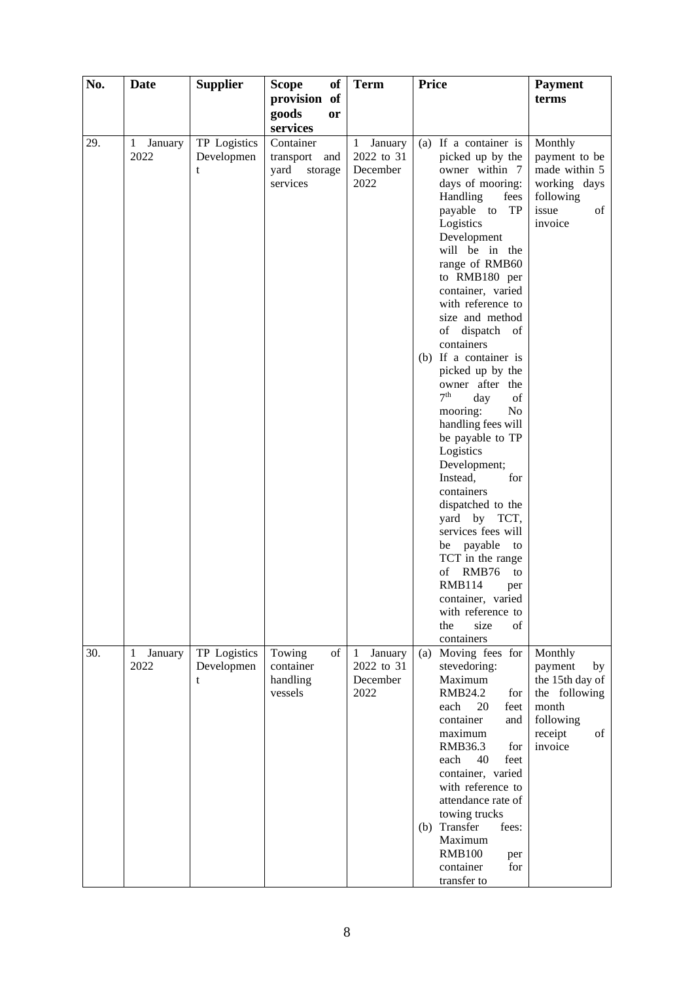| No. | Date                            | <b>Supplier</b>                 | <b>Scope</b><br>of                                                       | <b>Term</b>                                               | <b>Price</b>                                                                                                                                                                                                                                                                                                                                                                                                                                                                                                                                                                                                                                      | <b>Payment</b>                                                                                                 |
|-----|---------------------------------|---------------------------------|--------------------------------------------------------------------------|-----------------------------------------------------------|---------------------------------------------------------------------------------------------------------------------------------------------------------------------------------------------------------------------------------------------------------------------------------------------------------------------------------------------------------------------------------------------------------------------------------------------------------------------------------------------------------------------------------------------------------------------------------------------------------------------------------------------------|----------------------------------------------------------------------------------------------------------------|
|     |                                 |                                 | provision of                                                             |                                                           |                                                                                                                                                                                                                                                                                                                                                                                                                                                                                                                                                                                                                                                   | terms                                                                                                          |
|     |                                 |                                 | goods<br><b>or</b>                                                       |                                                           |                                                                                                                                                                                                                                                                                                                                                                                                                                                                                                                                                                                                                                                   |                                                                                                                |
| 29. | $\mathbf{1}$<br>January<br>2022 | TP Logistics<br>Developmen<br>t | services<br>Container<br>transport<br>and<br>yard<br>storage<br>services | January<br>$\mathbf{1}$<br>2022 to 31<br>December<br>2022 | (a) If a container is<br>picked up by the<br>owner within 7<br>days of mooring:<br>Handling<br>fees<br>TP<br>payable to<br>Logistics<br>Development<br>will be in the<br>range of RMB60<br>to RMB180 per<br>container, varied<br>with reference to<br>size and method<br>of dispatch<br>of<br>containers<br>(b) If a container is<br>picked up by the<br>owner after the<br>7 <sup>th</sup><br>day<br>of<br>mooring:<br>N <sub>o</sub><br>handling fees will<br>be payable to TP<br>Logistics<br>Development;<br>Instead,<br>for<br>containers<br>dispatched to the<br>yard by TCT,<br>services fees will<br>be payable<br>to<br>TCT in the range | Monthly<br>payment to be<br>made within 5<br>working days<br>following<br>issue<br>of<br>invoice               |
| 30. | January<br>$\mathbf{1}$<br>2022 | TP Logistics<br>Developmen<br>t | Towing<br>of<br>container<br>handling<br>vessels                         | January<br>$\mathbf{1}$<br>2022 to 31<br>December<br>2022 | RMB76<br>of<br>to<br><b>RMB114</b><br>per<br>container, varied<br>with reference to<br>the<br>size<br>of<br>containers<br>Moving fees for<br>(a)<br>stevedoring:<br>Maximum<br>RMB24.2<br>for<br>20<br>each<br>feet<br>container<br>and<br>maximum<br>RMB36.3<br>for<br>feet<br>each<br>40<br>container, varied<br>with reference to<br>attendance rate of<br>towing trucks<br>(b) Transfer<br>fees:<br>Maximum<br><b>RMB100</b><br>per<br>container<br>for<br>transfer to                                                                                                                                                                        | Monthly<br>payment<br>by<br>the 15th day of<br>the following<br>month<br>following<br>receipt<br>of<br>invoice |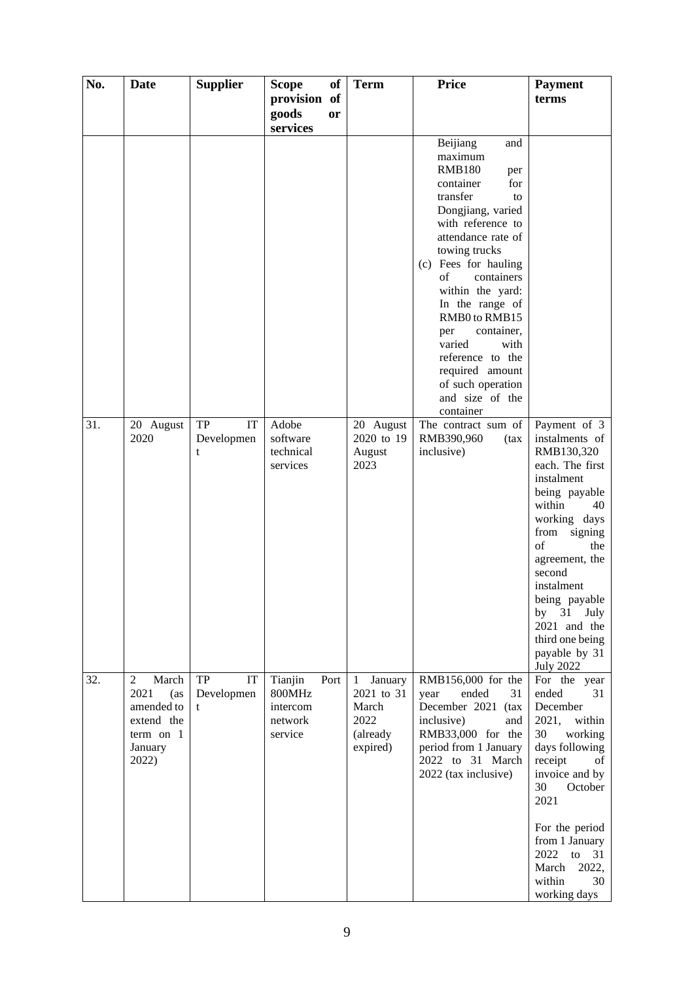| No. | Date                                                                                                | <b>Supplier</b>             | of<br><b>Scope</b>                                          | <b>Term</b>                                                                    | <b>Price</b>                                                                                                                                                                                                                                                                                                                                                                                                     | <b>Payment</b>                                                                                                                                                                                                                                                                                                        |
|-----|-----------------------------------------------------------------------------------------------------|-----------------------------|-------------------------------------------------------------|--------------------------------------------------------------------------------|------------------------------------------------------------------------------------------------------------------------------------------------------------------------------------------------------------------------------------------------------------------------------------------------------------------------------------------------------------------------------------------------------------------|-----------------------------------------------------------------------------------------------------------------------------------------------------------------------------------------------------------------------------------------------------------------------------------------------------------------------|
|     |                                                                                                     |                             | provision of<br>goods<br>or                                 |                                                                                |                                                                                                                                                                                                                                                                                                                                                                                                                  | terms                                                                                                                                                                                                                                                                                                                 |
|     |                                                                                                     |                             | services                                                    |                                                                                |                                                                                                                                                                                                                                                                                                                                                                                                                  |                                                                                                                                                                                                                                                                                                                       |
|     |                                                                                                     |                             |                                                             |                                                                                | Beijiang<br>and<br>maximum<br><b>RMB180</b><br>per<br>container<br>for<br>transfer<br>to<br>Dongjiang, varied<br>with reference to<br>attendance rate of<br>towing trucks<br>(c) Fees for hauling<br>containers<br>of<br>within the yard:<br>In the range of<br>RMB0 to RMB15<br>container,<br>per<br>varied<br>with<br>reference to the<br>required amount<br>of such operation<br>and size of the<br>container |                                                                                                                                                                                                                                                                                                                       |
| 31. | 20 August<br>2020                                                                                   | TP<br>IT<br>Developmen<br>t | Adobe<br>software<br>technical<br>services                  | 20 August<br>2020 to 19<br>August<br>2023                                      | The contract sum of<br>RMB390,960<br>(tax)<br>inclusive)                                                                                                                                                                                                                                                                                                                                                         | Payment of 3<br>instalments of<br>RMB130,320<br>each. The first<br>instalment<br>being payable<br>within<br>40<br>working days<br>from<br>signing<br>of<br>the<br>agreement, the<br>second<br>instalment<br>being payable<br>31<br>July<br>by<br>2021 and the<br>third one being<br>payable by 31<br><b>July 2022</b> |
| 32. | March<br>$\overline{2}$<br>2021<br>(as<br>amended to<br>extend the<br>term on 1<br>January<br>2022) | TP<br>IT<br>Developmen<br>t | Tianjin<br>Port<br>800MHz<br>intercom<br>network<br>service | $\mathbf{1}$<br>January<br>2021 to 31<br>March<br>2022<br>(already<br>expired) | RMB156,000 for the<br>ended<br>31<br>year<br>December 2021 (tax<br>inclusive)<br>and<br>RMB33,000 for the<br>period from 1 January<br>2022 to 31 March<br>2022 (tax inclusive)                                                                                                                                                                                                                                   | For the year<br>ended<br>31<br>December<br>2021,<br>within<br>30<br>working<br>days following<br>receipt<br>οf<br>invoice and by<br>October<br>30<br>2021<br>For the period<br>from 1 January<br>2022<br>to $31$<br>2022,<br>March<br>within<br>30                                                                    |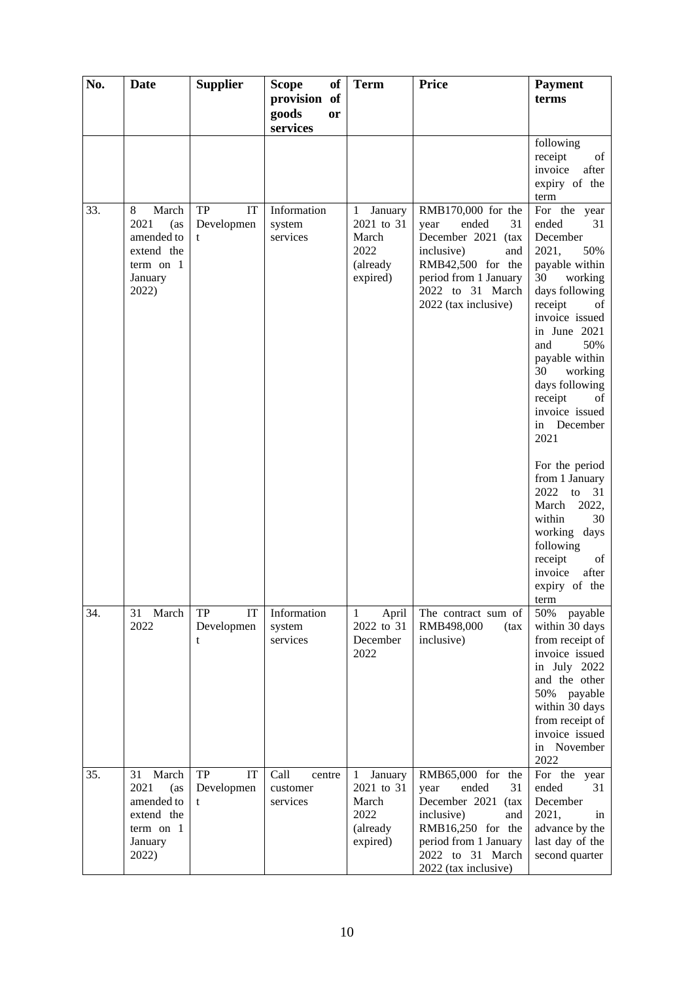| No. | <b>Date</b>                                                                               | <b>Supplier</b>             | <b>Scope</b><br>of                      | <b>Term</b>                                                                    | <b>Price</b>                                                                                                                                                                     | <b>Payment</b>                                                                                                                                                                                                                                                                                                                                                                                                                                                                   |
|-----|-------------------------------------------------------------------------------------------|-----------------------------|-----------------------------------------|--------------------------------------------------------------------------------|----------------------------------------------------------------------------------------------------------------------------------------------------------------------------------|----------------------------------------------------------------------------------------------------------------------------------------------------------------------------------------------------------------------------------------------------------------------------------------------------------------------------------------------------------------------------------------------------------------------------------------------------------------------------------|
|     |                                                                                           |                             | provision of<br>goods<br>or<br>services |                                                                                |                                                                                                                                                                                  | terms                                                                                                                                                                                                                                                                                                                                                                                                                                                                            |
|     |                                                                                           |                             |                                         |                                                                                |                                                                                                                                                                                  | following<br>receipt<br>of<br>invoice<br>after<br>expiry of the<br>term                                                                                                                                                                                                                                                                                                                                                                                                          |
| 33. | March<br>8<br>2021<br>(as<br>amended to<br>extend the<br>term on 1<br>January<br>2022)    | TP<br>IT<br>Developmen<br>t | Information<br>system<br>services       | January<br>$\mathbf{1}$<br>2021 to 31<br>March<br>2022<br>(already<br>expired) | RMB170,000 for the<br>ended<br>31<br>year<br>December 2021 (tax<br>inclusive)<br>and<br>RMB42,500 for the<br>period from 1 January<br>2022 to 31 March<br>2022 (tax inclusive)   | For the year<br>ended<br>31<br>December<br>2021,<br>50%<br>payable within<br>30<br>working<br>days following<br>receipt<br>of<br>invoice issued<br>in June 2021<br>and<br>50%<br>payable within<br>30<br>working<br>days following<br>receipt<br>of<br>invoice issued<br>in December<br>2021<br>For the period<br>from 1 January<br>2022<br>to $31$<br>March<br>2022,<br>within<br>30<br>working days<br>following<br>receipt<br>of<br>invoice<br>after<br>expiry of the<br>term |
| 34. | 31<br>March<br>2022                                                                       | IT<br>TP<br>Developmen<br>t | Information<br>system<br>services       | April<br>1<br>2022 to 31<br>December<br>2022                                   | The contract sum of<br>RMB498,000<br>(tax)<br>inclusive)                                                                                                                         | 50%<br>payable<br>within 30 days<br>from receipt of<br>invoice issued<br>in July 2022<br>and the other<br>50% payable<br>within 30 days<br>from receipt of<br>invoice issued<br>in November<br>2022                                                                                                                                                                                                                                                                              |
| 35. | March<br>31<br>2021<br>(as<br>amended to<br>extend the<br>term on $1$<br>January<br>2022) | TP<br>IT<br>Developmen<br>t | Call<br>centre<br>customer<br>services  | January<br>1<br>2021 to 31<br>March<br>2022<br>(already<br>expired)            | RMB65,000 for the<br>ended<br>31<br>year<br>December 2021<br>(tax<br>inclusive)<br>and<br>RMB16,250 for the<br>period from 1 January<br>2022 to 31 March<br>2022 (tax inclusive) | For the year<br>ended<br>31<br>December<br>2021,<br>in<br>advance by the<br>last day of the<br>second quarter                                                                                                                                                                                                                                                                                                                                                                    |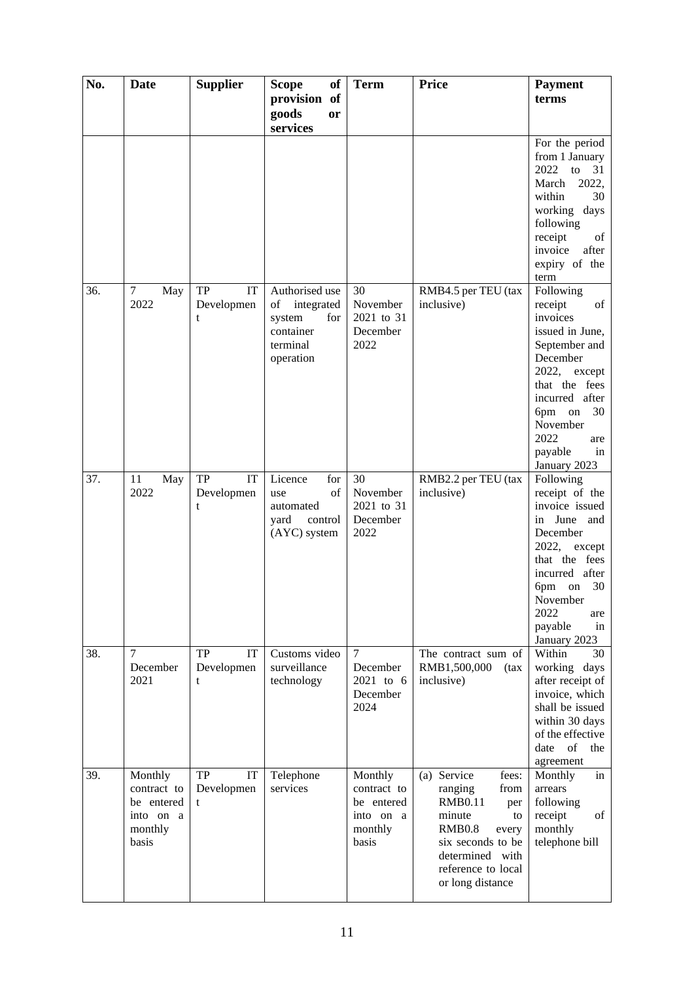| No. | Date                    | <b>Supplier</b>  | of<br><b>Scope</b>                | <b>Term</b>             | <b>Price</b>                           | <b>Payment</b>                        |
|-----|-------------------------|------------------|-----------------------------------|-------------------------|----------------------------------------|---------------------------------------|
|     |                         |                  | provision of<br>goods<br>or       |                         |                                        | terms                                 |
|     |                         |                  | services                          |                         |                                        | For the period                        |
|     |                         |                  |                                   |                         |                                        | from 1 January                        |
|     |                         |                  |                                   |                         |                                        | 2022<br>to $31$                       |
|     |                         |                  |                                   |                         |                                        | March<br>2022,                        |
|     |                         |                  |                                   |                         |                                        | within<br>30<br>working days          |
|     |                         |                  |                                   |                         |                                        | following                             |
|     |                         |                  |                                   |                         |                                        | receipt<br>of                         |
|     |                         |                  |                                   |                         |                                        | invoice<br>after                      |
|     |                         |                  |                                   |                         |                                        | expiry of the<br>term                 |
| 36. | $\tau$<br>May           | ${\rm TP}$<br>IT | Authorised use                    | 30                      | RMB4.5 per TEU (tax                    | Following                             |
|     | 2022                    | Developmen<br>t  | integrated<br>of<br>system<br>for | November<br>2021 to 31  | inclusive)                             | receipt<br>of<br>invoices             |
|     |                         |                  | container                         | December                |                                        | issued in June,                       |
|     |                         |                  | terminal                          | 2022                    |                                        | September and                         |
|     |                         |                  | operation                         |                         |                                        | December                              |
|     |                         |                  |                                   |                         |                                        | 2022, except                          |
|     |                         |                  |                                   |                         |                                        | that the fees<br>incurred after       |
|     |                         |                  |                                   |                         |                                        | 6pm on<br>30                          |
|     |                         |                  |                                   |                         |                                        | November                              |
|     |                         |                  |                                   |                         |                                        | 2022<br>are                           |
|     |                         |                  |                                   |                         |                                        | payable<br>in<br>January 2023         |
| 37. | 11<br>May               | IT<br>TP         | Licence<br>for                    | 30                      | RMB2.2 per TEU (tax                    | Following                             |
|     | 2022                    | Developmen       | of<br>use                         | November                | inclusive)                             | receipt of the                        |
|     |                         | t                | automated                         | 2021 to 31              |                                        | invoice issued                        |
|     |                         |                  | yard<br>control<br>(AYC) system   | December<br>2022        |                                        | in June and<br>December               |
|     |                         |                  |                                   |                         |                                        | 2022, except                          |
|     |                         |                  |                                   |                         |                                        | that the fees                         |
|     |                         |                  |                                   |                         |                                        | incurred after                        |
|     |                         |                  |                                   |                         |                                        | 6pm<br>30<br>on                       |
|     |                         |                  |                                   |                         |                                        | November<br>2022<br>are               |
|     |                         |                  |                                   |                         |                                        | payable<br>in                         |
|     |                         |                  |                                   |                         |                                        | January 2023                          |
| 38. | $\overline{7}$          | IT<br>TP         | Customs video                     | $\tau$                  | The contract sum of                    | Within<br>30                          |
|     | December<br>2021        | Developmen<br>t  | surveillance<br>technology        | December<br>2021 to 6   | RMB1,500,000<br>(tax)<br>inclusive)    | working days<br>after receipt of      |
|     |                         |                  |                                   | December                |                                        | invoice, which                        |
|     |                         |                  |                                   | 2024                    |                                        | shall be issued                       |
|     |                         |                  |                                   |                         |                                        | within 30 days                        |
|     |                         |                  |                                   |                         |                                        | of the effective<br>of<br>date<br>the |
|     |                         |                  |                                   |                         |                                        | agreement                             |
| 39. | Monthly                 | TP<br>IT         | Telephone                         | Monthly                 | (a) Service<br>fees:                   | Monthly<br>in                         |
|     | contract to             | Developmen       | services                          | contract to             | ranging<br>from                        | arrears                               |
|     | be entered<br>into on a | t                |                                   | be entered<br>into on a | <b>RMB0.11</b><br>per<br>minute<br>to  | following<br>receipt<br>of            |
|     | monthly                 |                  |                                   | monthly                 | <b>RMB0.8</b><br>every                 | monthly                               |
|     | basis                   |                  |                                   | basis                   | six seconds to be                      | telephone bill                        |
|     |                         |                  |                                   |                         | determined with                        |                                       |
|     |                         |                  |                                   |                         | reference to local<br>or long distance |                                       |
|     |                         |                  |                                   |                         |                                        |                                       |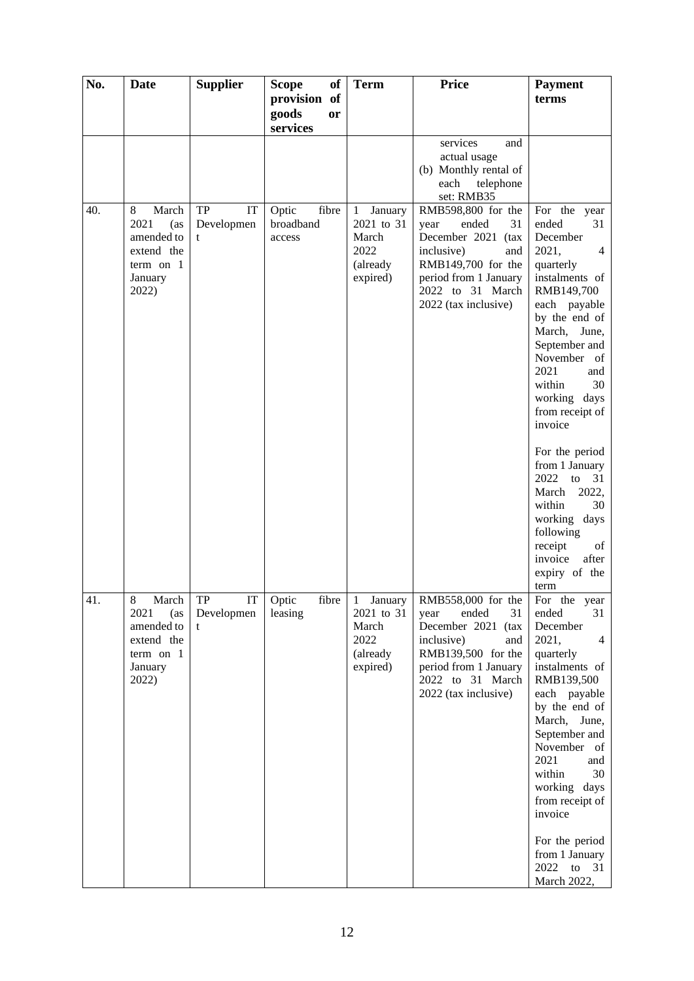| No. | <b>Date</b>                                                                            | <b>Supplier</b>                    | <b>Scope</b><br>of                    | <b>Term</b>                                                                    | <b>Price</b>                                                                                                                                                                                  | <b>Payment</b>                                                                                                                                                                                                                                                                                                                           |
|-----|----------------------------------------------------------------------------------------|------------------------------------|---------------------------------------|--------------------------------------------------------------------------------|-----------------------------------------------------------------------------------------------------------------------------------------------------------------------------------------------|------------------------------------------------------------------------------------------------------------------------------------------------------------------------------------------------------------------------------------------------------------------------------------------------------------------------------------------|
|     |                                                                                        |                                    | provision of<br>goods<br>or           |                                                                                |                                                                                                                                                                                               | terms                                                                                                                                                                                                                                                                                                                                    |
|     |                                                                                        |                                    | services                              |                                                                                | services<br>and<br>actual usage<br>(b) Monthly rental of<br>each<br>telephone                                                                                                                 |                                                                                                                                                                                                                                                                                                                                          |
| 40. | March<br>8<br>2021<br>(as<br>amended to<br>extend the<br>term on 1<br>January<br>2022) | <b>TP</b><br>IT<br>Developmen<br>t | Optic<br>fibre<br>broadband<br>access | January<br>$\mathbf{1}$<br>2021 to 31<br>March<br>2022<br>(already<br>expired) | set: RMB35<br>RMB598,800 for the<br>ended<br>31<br>year<br>December 2021 (tax<br>inclusive)<br>and<br>RMB149,700 for the<br>period from 1 January<br>2022 to 31 March<br>2022 (tax inclusive) | For the year<br>ended<br>31<br>December<br>2021,<br>$\overline{4}$<br>quarterly<br>instalments of<br>RMB149,700<br>each payable<br>by the end of<br>March, June,<br>September and<br>November<br>of<br>2021<br>and<br>within<br>30<br>working days<br>from receipt of<br>invoice<br>For the period<br>from 1 January<br>2022<br>to<br>31 |
|     |                                                                                        |                                    |                                       |                                                                                |                                                                                                                                                                                               | 2022,<br>March<br>within<br>30<br>working days<br>following<br>receipt<br>of<br>invoice<br>after<br>expiry of the<br>term                                                                                                                                                                                                                |
| 41. | 8<br>March<br>2021<br>(as<br>amended to<br>extend the<br>term on 1<br>January<br>2022) | TP<br>IT<br>Developmen<br>t        | Optic<br>fibre<br>leasing             | $\mathbf{1}$<br>January<br>2021 to 31<br>March<br>2022<br>(already<br>expired) | RMB558,000 for the<br>ended<br>31<br>year<br>December 2021 (tax<br>inclusive)<br>and<br>RMB139,500 for the<br>period from 1 January<br>2022 to 31 March<br>2022 (tax inclusive)               | For the year<br>ended<br>31<br>December<br>2021,<br>$\overline{4}$<br>quarterly<br>instalments of<br>RMB139,500<br>each payable<br>by the end of<br>March, June,<br>September and<br>November of<br>2021<br>and<br>within<br>30<br>working days<br>from receipt of<br>invoice<br>For the period<br>from 1 January                        |
|     |                                                                                        |                                    |                                       |                                                                                |                                                                                                                                                                                               | 2022<br>31<br>to<br>March 2022,                                                                                                                                                                                                                                                                                                          |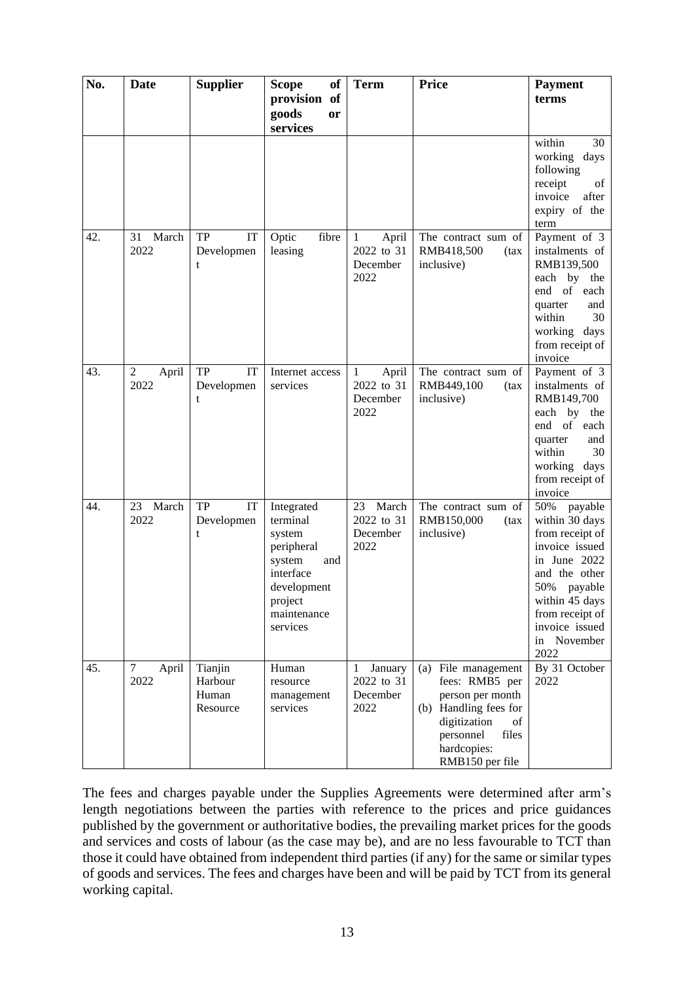| No. | Date                              | <b>Supplier</b>                         | <b>of</b><br><b>Scope</b>                                                                                                         | <b>Term</b>                                             | <b>Price</b>                                                                                                                                                     | <b>Payment</b>                                                                                                                                                                                            |
|-----|-----------------------------------|-----------------------------------------|-----------------------------------------------------------------------------------------------------------------------------------|---------------------------------------------------------|------------------------------------------------------------------------------------------------------------------------------------------------------------------|-----------------------------------------------------------------------------------------------------------------------------------------------------------------------------------------------------------|
|     |                                   |                                         | provision of<br>goods<br>or                                                                                                       |                                                         |                                                                                                                                                                  | terms                                                                                                                                                                                                     |
|     |                                   |                                         | services                                                                                                                          |                                                         |                                                                                                                                                                  | within<br>30<br>working<br>days<br>following<br>receipt<br>of<br>invoice<br>after<br>expiry of the<br>term                                                                                                |
| 42. | March<br>31<br>2022               | TP<br>IT<br>Developmen<br>t             | Optic<br>fibre<br>leasing                                                                                                         | April<br>$\mathbf{1}$<br>2022 to 31<br>December<br>2022 | The contract sum of<br>RMB418,500<br>(tax)<br>inclusive)                                                                                                         | Payment of 3<br>instalments of<br>RMB139,500<br>each by the<br>end of each<br>quarter<br>and<br>within<br>30<br>working<br>days<br>from receipt of<br>invoice                                             |
| 43. | $\boldsymbol{2}$<br>April<br>2022 | <b>TP</b><br>IT<br>Developmen<br>t      | Internet access<br>services                                                                                                       | April<br>1<br>2022 to 31<br>December<br>2022            | The contract sum of<br>RMB449,100<br>(tax<br>inclusive)                                                                                                          | Payment of 3<br>instalments of<br>RMB149,700<br>each by the<br>end of each<br>quarter<br>and<br>30<br>within<br>working days<br>from receipt of<br>invoice                                                |
| 44. | March<br>23<br>2022               | IT<br>TP<br>Developmen<br>t             | Integrated<br>terminal<br>system<br>peripheral<br>system<br>and<br>interface<br>development<br>project<br>maintenance<br>services | March<br>23<br>2022 to 31<br>December<br>2022           | The contract sum of<br>RMB150,000<br>(tax)<br>inclusive)                                                                                                         | 50%<br>payable<br>within 30 days<br>from receipt of<br>invoice issued<br>in June 2022<br>and the other<br>50%<br>payable<br>within 45 days<br>from receipt of<br>invoice issued<br>November<br>in<br>2022 |
| 45. | 7<br>April<br>2022                | Tianjin<br>Harbour<br>Human<br>Resource | Human<br>resource<br>management<br>services                                                                                       | January<br>1<br>2022 to 31<br>December<br>2022          | (a) File management<br>fees: RMB5 per<br>person per month<br>(b) Handling fees for<br>digitization<br>of<br>files<br>personnel<br>hardcopies:<br>RMB150 per file | By 31 October<br>2022                                                                                                                                                                                     |

The fees and charges payable under the Supplies Agreements were determined after arm's length negotiations between the parties with reference to the prices and price guidances published by the government or authoritative bodies, the prevailing market prices for the goods and services and costs of labour (as the case may be), and are no less favourable to TCT than those it could have obtained from independent third parties (if any) for the same or similar types of goods and services. The fees and charges have been and will be paid by TCT from its general working capital.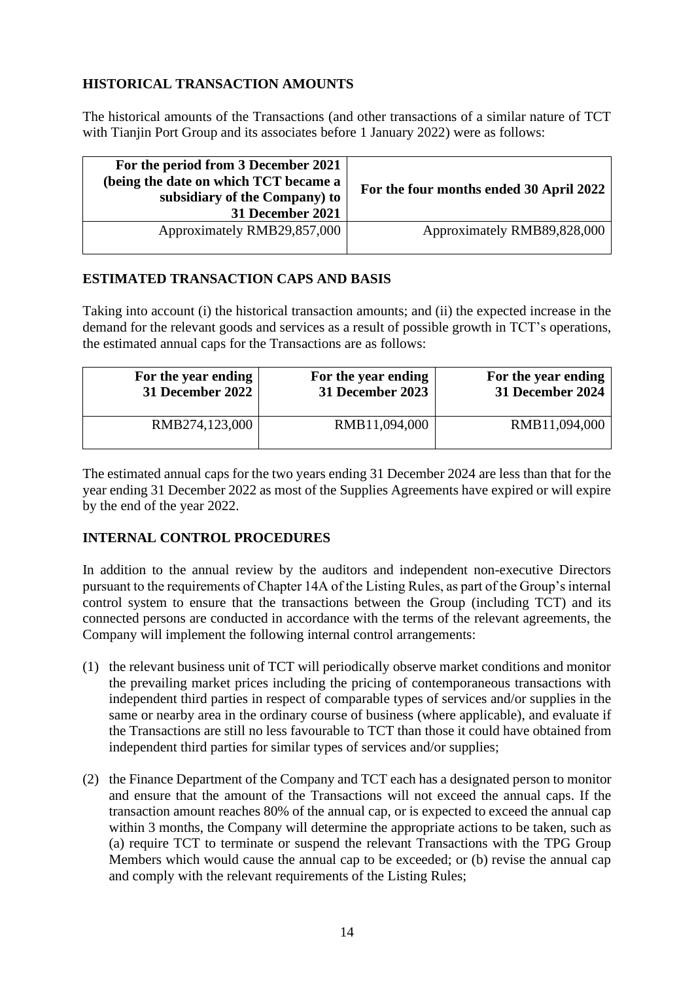## **HISTORICAL TRANSACTION AMOUNTS**

The historical amounts of the Transactions (and other transactions of a similar nature of TCT with Tianjin Port Group and its associates before 1 January 2022) were as follows:

| For the period from 3 December 2021<br>(being the date on which TCT became a<br>subsidiary of the Company) to<br>31 December 2021 | For the four months ended 30 April 2022 |
|-----------------------------------------------------------------------------------------------------------------------------------|-----------------------------------------|
| Approximately RMB29,857,000                                                                                                       | Approximately RMB89,828,000             |

#### **ESTIMATED TRANSACTION CAPS AND BASIS**

Taking into account (i) the historical transaction amounts; and (ii) the expected increase in the demand for the relevant goods and services as a result of possible growth in TCT's operations, the estimated annual caps for the Transactions are as follows:

| For the year ending     | For the year ending | For the year ending |
|-------------------------|---------------------|---------------------|
| <b>31 December 2022</b> | 31 December 2023    | 31 December 2024    |
| RMB274,123,000          | RMB11,094,000       | RMB11,094,000       |

The estimated annual caps for the two years ending 31 December 2024 are less than that for the year ending 31 December 2022 as most of the Supplies Agreements have expired or will expire by the end of the year 2022.

## **INTERNAL CONTROL PROCEDURES**

In addition to the annual review by the auditors and independent non-executive Directors pursuant to the requirements of Chapter 14A of the Listing Rules, as part of the Group's internal control system to ensure that the transactions between the Group (including TCT) and its connected persons are conducted in accordance with the terms of the relevant agreements, the Company will implement the following internal control arrangements:

- (1) the relevant business unit of TCT will periodically observe market conditions and monitor the prevailing market prices including the pricing of contemporaneous transactions with independent third parties in respect of comparable types of services and/or supplies in the same or nearby area in the ordinary course of business (where applicable), and evaluate if the Transactions are still no less favourable to TCT than those it could have obtained from independent third parties for similar types of services and/or supplies;
- (2) the Finance Department of the Company and TCT each has a designated person to monitor and ensure that the amount of the Transactions will not exceed the annual caps. If the transaction amount reaches 80% of the annual cap, or is expected to exceed the annual cap within 3 months, the Company will determine the appropriate actions to be taken, such as (a) require TCT to terminate or suspend the relevant Transactions with the TPG Group Members which would cause the annual cap to be exceeded; or (b) revise the annual cap and comply with the relevant requirements of the Listing Rules;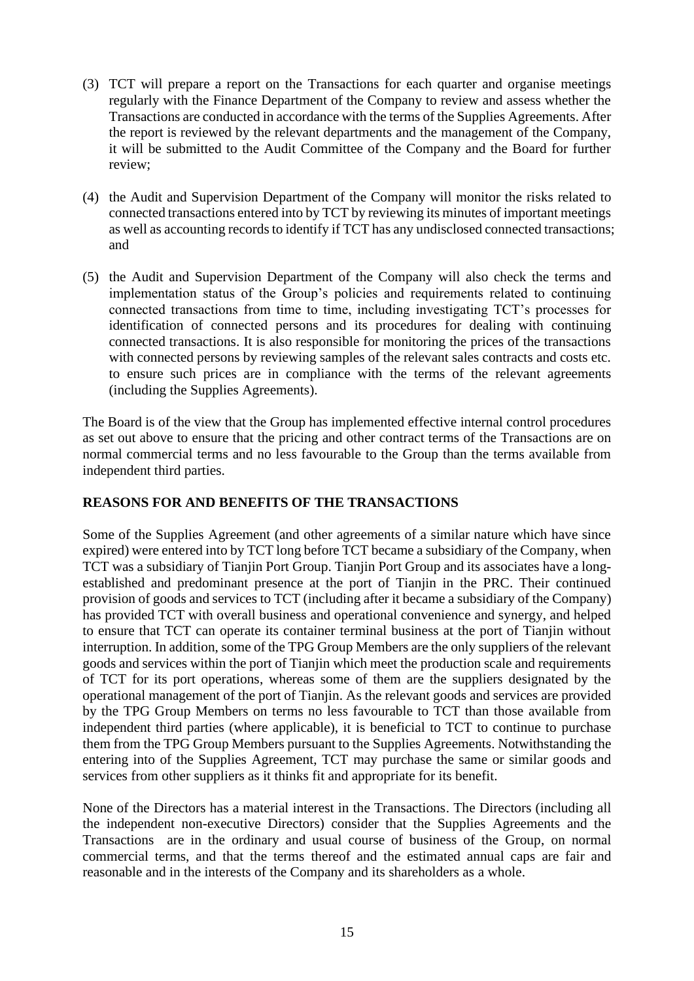- (3) TCT will prepare a report on the Transactions for each quarter and organise meetings regularly with the Finance Department of the Company to review and assess whether the Transactions are conducted in accordance with the terms of the Supplies Agreements. After the report is reviewed by the relevant departments and the management of the Company, it will be submitted to the Audit Committee of the Company and the Board for further review;
- (4) the Audit and Supervision Department of the Company will monitor the risks related to connected transactions entered into by TCT by reviewing its minutes of important meetings as well as accounting records to identify if TCT has any undisclosed connected transactions; and
- (5) the Audit and Supervision Department of the Company will also check the terms and implementation status of the Group's policies and requirements related to continuing connected transactions from time to time, including investigating TCT's processes for identification of connected persons and its procedures for dealing with continuing connected transactions. It is also responsible for monitoring the prices of the transactions with connected persons by reviewing samples of the relevant sales contracts and costs etc. to ensure such prices are in compliance with the terms of the relevant agreements (including the Supplies Agreements).

The Board is of the view that the Group has implemented effective internal control procedures as set out above to ensure that the pricing and other contract terms of the Transactions are on normal commercial terms and no less favourable to the Group than the terms available from independent third parties.

## **REASONS FOR AND BENEFITS OF THE TRANSACTIONS**

Some of the Supplies Agreement (and other agreements of a similar nature which have since expired) were entered into by TCT long before TCT became a subsidiary of the Company, when TCT was a subsidiary of Tianjin Port Group. Tianjin Port Group and its associates have a longestablished and predominant presence at the port of Tianjin in the PRC. Their continued provision of goods and services to TCT (including after it became a subsidiary of the Company) has provided TCT with overall business and operational convenience and synergy, and helped to ensure that TCT can operate its container terminal business at the port of Tianjin without interruption. In addition, some of the TPG Group Members are the only suppliers of the relevant goods and services within the port of Tianjin which meet the production scale and requirements of TCT for its port operations, whereas some of them are the suppliers designated by the operational management of the port of Tianjin. As the relevant goods and services are provided by the TPG Group Members on terms no less favourable to TCT than those available from independent third parties (where applicable), it is beneficial to TCT to continue to purchase them from the TPG Group Members pursuant to the Supplies Agreements. Notwithstanding the entering into of the Supplies Agreement, TCT may purchase the same or similar goods and services from other suppliers as it thinks fit and appropriate for its benefit.

None of the Directors has a material interest in the Transactions. The Directors (including all the independent non-executive Directors) consider that the Supplies Agreements and the Transactions are in the ordinary and usual course of business of the Group, on normal commercial terms, and that the terms thereof and the estimated annual caps are fair and reasonable and in the interests of the Company and its shareholders as a whole.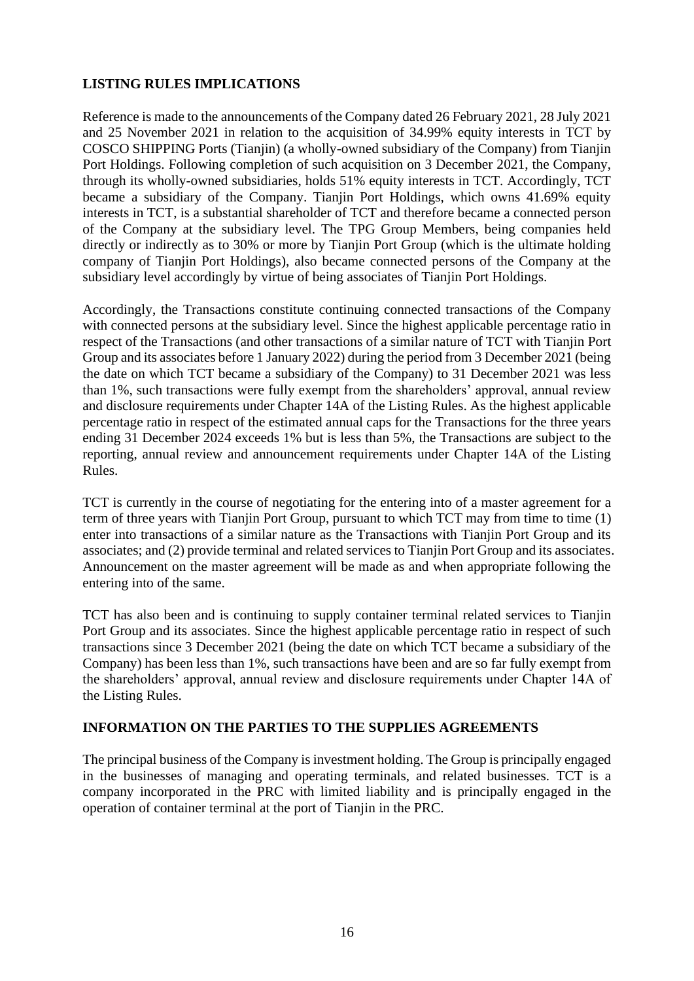### **LISTING RULES IMPLICATIONS**

Reference is made to the announcements of the Company dated 26 February 2021, 28 July 2021 and 25 November 2021 in relation to the acquisition of 34.99% equity interests in TCT by COSCO SHIPPING Ports (Tianjin) (a wholly-owned subsidiary of the Company) from Tianjin Port Holdings. Following completion of such acquisition on 3 December 2021, the Company, through its wholly-owned subsidiaries, holds 51% equity interests in TCT. Accordingly, TCT became a subsidiary of the Company. Tianjin Port Holdings, which owns 41.69% equity interests in TCT, is a substantial shareholder of TCT and therefore became a connected person of the Company at the subsidiary level. The TPG Group Members, being companies held directly or indirectly as to 30% or more by Tianjin Port Group (which is the ultimate holding company of Tianjin Port Holdings), also became connected persons of the Company at the subsidiary level accordingly by virtue of being associates of Tianjin Port Holdings.

Accordingly, the Transactions constitute continuing connected transactions of the Company with connected persons at the subsidiary level. Since the highest applicable percentage ratio in respect of the Transactions (and other transactions of a similar nature of TCT with Tianjin Port Group and its associates before 1 January 2022) during the period from 3 December 2021 (being the date on which TCT became a subsidiary of the Company) to 31 December 2021 was less than 1%, such transactions were fully exempt from the shareholders' approval, annual review and disclosure requirements under Chapter 14A of the Listing Rules. As the highest applicable percentage ratio in respect of the estimated annual caps for the Transactions for the three years ending 31 December 2024 exceeds 1% but is less than 5%, the Transactions are subject to the reporting, annual review and announcement requirements under Chapter 14A of the Listing Rules.

TCT is currently in the course of negotiating for the entering into of a master agreement for a term of three years with Tianjin Port Group, pursuant to which TCT may from time to time (1) enter into transactions of a similar nature as the Transactions with Tianjin Port Group and its associates; and (2) provide terminal and related services to Tianjin Port Group and its associates. Announcement on the master agreement will be made as and when appropriate following the entering into of the same.

TCT has also been and is continuing to supply container terminal related services to Tianjin Port Group and its associates. Since the highest applicable percentage ratio in respect of such transactions since 3 December 2021 (being the date on which TCT became a subsidiary of the Company) has been less than 1%, such transactions have been and are so far fully exempt from the shareholders' approval, annual review and disclosure requirements under Chapter 14A of the Listing Rules.

#### **INFORMATION ON THE PARTIES TO THE SUPPLIES AGREEMENTS**

The principal business of the Company is investment holding. The Group is principally engaged in the businesses of managing and operating terminals, and related businesses. TCT is a company incorporated in the PRC with limited liability and is principally engaged in the operation of container terminal at the port of Tianjin in the PRC.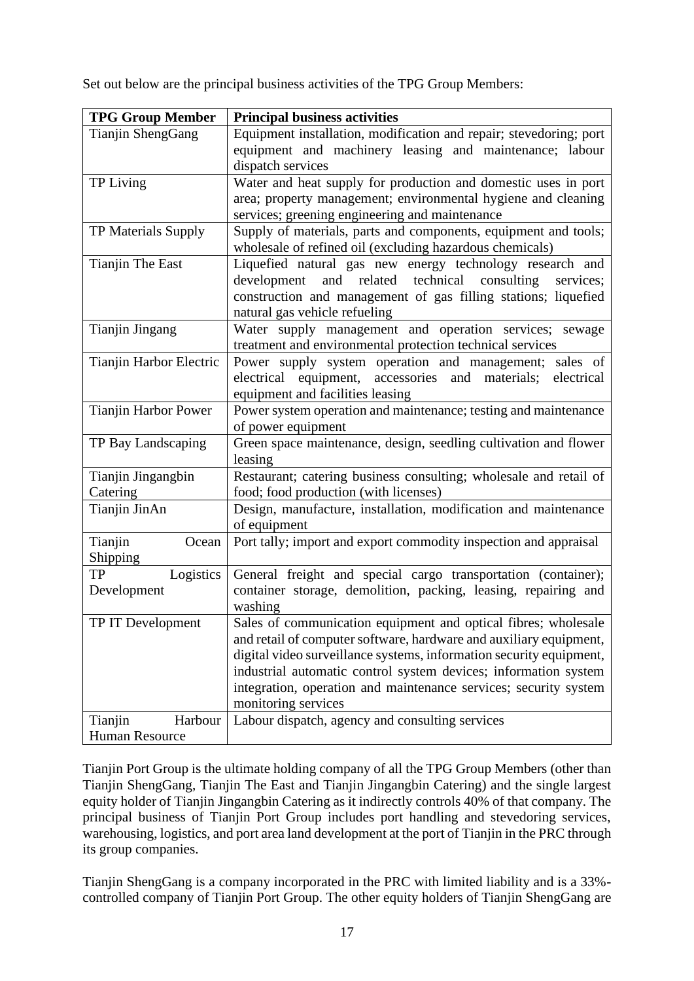Set out below are the principal business activities of the TPG Group Members:

| <b>TPG Group Member</b>     | <b>Principal business activities</b>                                                                                                               |
|-----------------------------|----------------------------------------------------------------------------------------------------------------------------------------------------|
| Tianjin ShengGang           | Equipment installation, modification and repair; stevedoring; port<br>equipment and machinery leasing and maintenance; labour<br>dispatch services |
| TP Living                   | Water and heat supply for production and domestic uses in port                                                                                     |
|                             | area; property management; environmental hygiene and cleaning                                                                                      |
|                             | services; greening engineering and maintenance                                                                                                     |
| TP Materials Supply         | Supply of materials, parts and components, equipment and tools;                                                                                    |
|                             | wholesale of refined oil (excluding hazardous chemicals)                                                                                           |
| Tianjin The East            | Liquefied natural gas new energy technology research and                                                                                           |
|                             | and related technical consulting<br>development<br>services;                                                                                       |
|                             | construction and management of gas filling stations; liquefied                                                                                     |
|                             | natural gas vehicle refueling                                                                                                                      |
| Tianjin Jingang             | Water supply management and operation services; sewage                                                                                             |
|                             | treatment and environmental protection technical services                                                                                          |
| Tianjin Harbor Electric     | Power supply system operation and management; sales of                                                                                             |
|                             | electrical equipment, accessories<br>and materials; electrical                                                                                     |
|                             | equipment and facilities leasing                                                                                                                   |
| <b>Tianjin Harbor Power</b> | Power system operation and maintenance; testing and maintenance                                                                                    |
|                             | of power equipment                                                                                                                                 |
| TP Bay Landscaping          | Green space maintenance, design, seedling cultivation and flower                                                                                   |
|                             | leasing                                                                                                                                            |
| Tianjin Jingangbin          | Restaurant; catering business consulting; wholesale and retail of                                                                                  |
| Catering                    | food; food production (with licenses)                                                                                                              |
| Tianjin JinAn               | Design, manufacture, installation, modification and maintenance<br>of equipment                                                                    |
| Tianjin<br>Ocean            | Port tally; import and export commodity inspection and appraisal                                                                                   |
| Shipping                    |                                                                                                                                                    |
| Logistics<br><b>TP</b>      | General freight and special cargo transportation (container);                                                                                      |
| Development                 | container storage, demolition, packing, leasing, repairing and                                                                                     |
|                             | washing                                                                                                                                            |
| TP IT Development           | Sales of communication equipment and optical fibres; wholesale                                                                                     |
|                             | and retail of computer software, hardware and auxiliary equipment,                                                                                 |
|                             | digital video surveillance systems, information security equipment,                                                                                |
|                             | industrial automatic control system devices; information system                                                                                    |
|                             | integration, operation and maintenance services; security system                                                                                   |
|                             | monitoring services                                                                                                                                |
| Tianjin<br>Harbour          | Labour dispatch, agency and consulting services                                                                                                    |
| Human Resource              |                                                                                                                                                    |

Tianjin Port Group is the ultimate holding company of all the TPG Group Members (other than Tianjin ShengGang, Tianjin The East and Tianjin Jingangbin Catering) and the single largest equity holder of Tianjin Jingangbin Catering as it indirectly controls 40% of that company. The principal business of Tianjin Port Group includes port handling and stevedoring services, warehousing, logistics, and port area land development at the port of Tianjin in the PRC through its group companies.

Tianjin ShengGang is a company incorporated in the PRC with limited liability and is a 33% controlled company of Tianjin Port Group. The other equity holders of Tianjin ShengGang are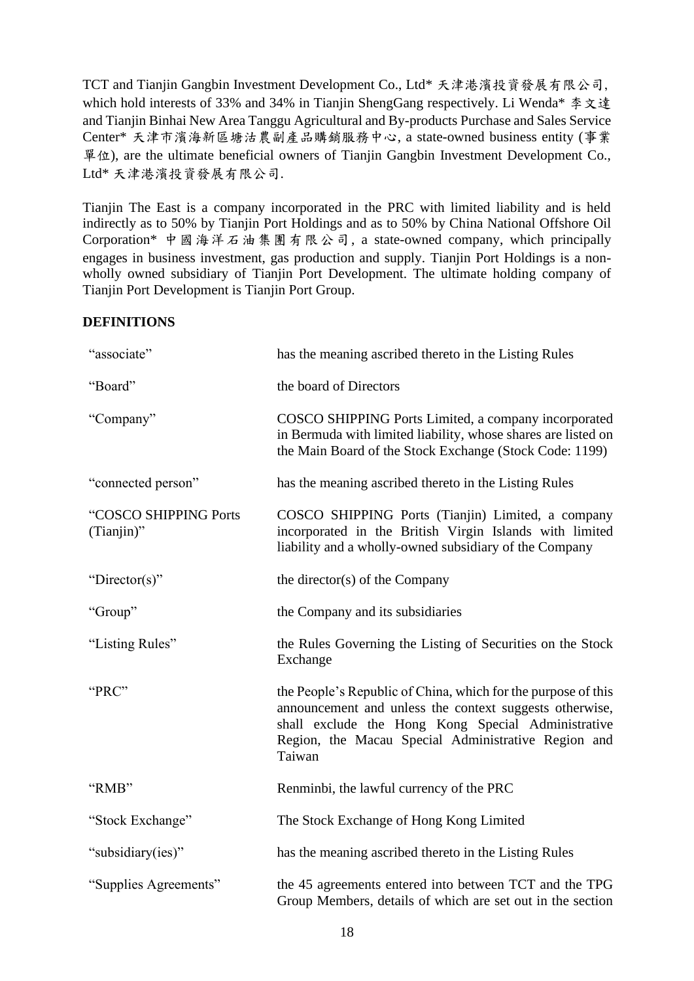TCT and Tianjin Gangbin Investment Development Co., Ltd\* 天津港濱投資發展有限公司, which hold interests of 33% and 34% in Tianjin ShengGang respectively. Li Wenda\* 李文達 and Tianjin Binhai New Area Tanggu Agricultural and By-products Purchase and Sales Service Center\* 天津市濱海新區塘沽農副產品購銷服務中心, a state-owned business entity (事業 單位), are the ultimate beneficial owners of Tianjin Gangbin Investment Development Co., Ltd\* 天津港濱投資發展有限公司.

Tianjin The East is a company incorporated in the PRC with limited liability and is held indirectly as to 50% by Tianjin Port Holdings and as to 50% by China National Offshore Oil Corporation\* 中國海洋石油集團有限公司, a state-owned company, which principally engages in business investment, gas production and supply. Tianjin Port Holdings is a nonwholly owned subsidiary of Tianjin Port Development. The ultimate holding company of Tianjin Port Development is Tianjin Port Group.

### **DEFINITIONS**

| "associate"                            | has the meaning ascribed thereto in the Listing Rules                                                                                                                                                                                           |
|----------------------------------------|-------------------------------------------------------------------------------------------------------------------------------------------------------------------------------------------------------------------------------------------------|
| "Board"                                | the board of Directors                                                                                                                                                                                                                          |
| "Company"                              | COSCO SHIPPING Ports Limited, a company incorporated<br>in Bermuda with limited liability, whose shares are listed on<br>the Main Board of the Stock Exchange (Stock Code: 1199)                                                                |
| "connected person"                     | has the meaning ascribed thereto in the Listing Rules                                                                                                                                                                                           |
| "COSCO SHIPPING Ports<br>$(Tianjin)$ " | COSCO SHIPPING Ports (Tianjin) Limited, a company<br>incorporated in the British Virgin Islands with limited<br>liability and a wholly-owned subsidiary of the Company                                                                          |
| "Director(s)"                          | the director(s) of the Company                                                                                                                                                                                                                  |
| "Group"                                | the Company and its subsidiaries                                                                                                                                                                                                                |
| "Listing Rules"                        | the Rules Governing the Listing of Securities on the Stock<br>Exchange                                                                                                                                                                          |
| "PRC"                                  | the People's Republic of China, which for the purpose of this<br>announcement and unless the context suggests otherwise,<br>shall exclude the Hong Kong Special Administrative<br>Region, the Macau Special Administrative Region and<br>Taiwan |
| "RMB"                                  | Renminbi, the lawful currency of the PRC                                                                                                                                                                                                        |
| "Stock Exchange"                       | The Stock Exchange of Hong Kong Limited                                                                                                                                                                                                         |
| "subsidiary(ies)"                      | has the meaning ascribed thereto in the Listing Rules                                                                                                                                                                                           |
| "Supplies Agreements"                  | the 45 agreements entered into between TCT and the TPG<br>Group Members, details of which are set out in the section                                                                                                                            |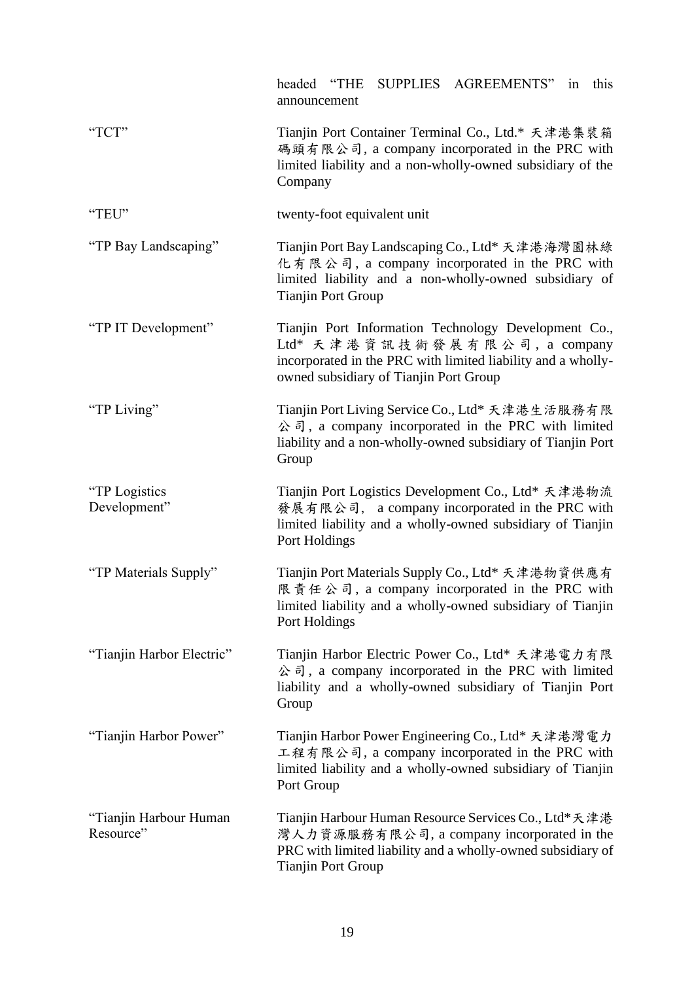|                                     | SUPPLIES AGREEMENTS"<br>headed "THE<br>this<br>in<br>announcement                                                                                                                                |
|-------------------------------------|--------------------------------------------------------------------------------------------------------------------------------------------------------------------------------------------------|
| "TCT"                               | Tianjin Port Container Terminal Co., Ltd.* 天津港集裝箱<br>碼頭有限公司, a company incorporated in the PRC with<br>limited liability and a non-wholly-owned subsidiary of the<br>Company                     |
| "TEU"                               | twenty-foot equivalent unit                                                                                                                                                                      |
| "TP Bay Landscaping"                | Tianjin Port Bay Landscaping Co., Ltd* 天津港海灣園林綠<br>化有限公司, a company incorporated in the PRC with<br>limited liability and a non-wholly-owned subsidiary of<br><b>Tianjin Port Group</b>          |
| "TP IT Development"                 | Tianjin Port Information Technology Development Co.,<br>Ltd* 天津港資訊技術發展有限公司, a company<br>incorporated in the PRC with limited liability and a wholly-<br>owned subsidiary of Tianjin Port Group  |
| "TP Living"                         | Tianjin Port Living Service Co., Ltd* 天津港生活服務有限<br>$\Diamond$ $\exists$ , a company incorporated in the PRC with limited<br>liability and a non-wholly-owned subsidiary of Tianjin Port<br>Group |
| "TP Logistics<br>Development"       | Tianjin Port Logistics Development Co., Ltd* 天津港物流<br>發展有限公司, a company incorporated in the PRC with<br>limited liability and a wholly-owned subsidiary of Tianjin<br>Port Holdings              |
| "TP Materials Supply"               | Tianjin Port Materials Supply Co., Ltd* 天津港物資供應有<br>限責任公司, a company incorporated in the PRC with<br>limited liability and a wholly-owned subsidiary of Tianjin<br>Port Holdings                 |
| "Tianjin Harbor Electric"           | Tianjin Harbor Electric Power Co., Ltd* 天津港電力有限<br>$\Diamond$ $\exists$ , a company incorporated in the PRC with limited<br>liability and a wholly-owned subsidiary of Tianjin Port<br>Group     |
| "Tianjin Harbor Power"              | Tianjin Harbor Power Engineering Co., Ltd* 天津港灣電力<br>工程有限公司, a company incorporated in the PRC with<br>limited liability and a wholly-owned subsidiary of Tianjin<br>Port Group                  |
| "Tianjin Harbour Human<br>Resource" | Tianjin Harbour Human Resource Services Co., Ltd*天津港<br>灣人力資源服務有限公司, a company incorporated in the<br>PRC with limited liability and a wholly-owned subsidiary of<br><b>Tianjin Port Group</b>   |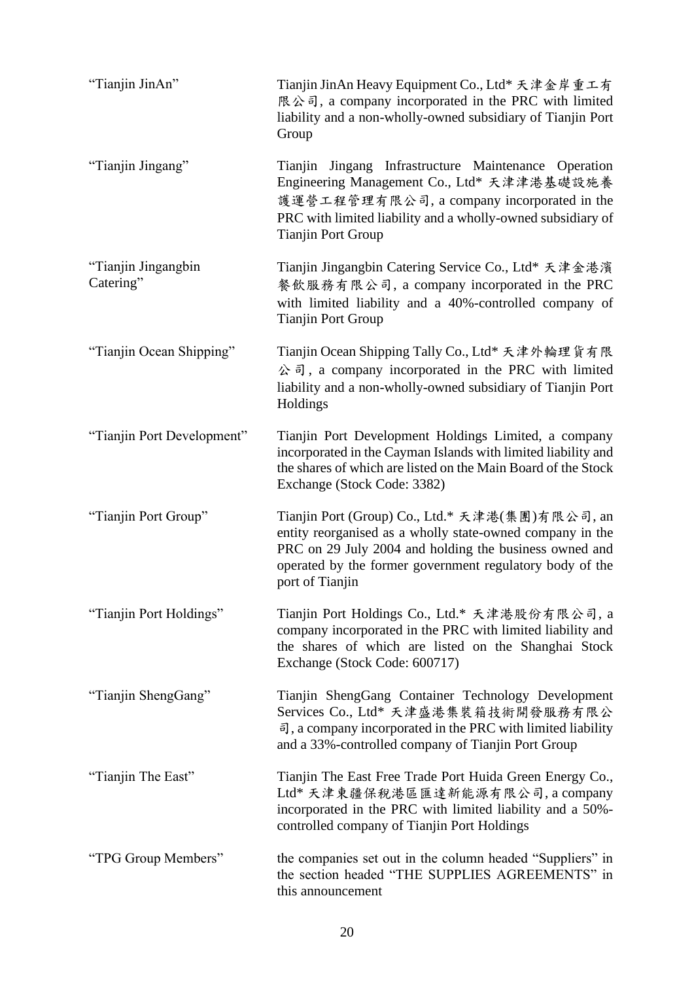| "Tianjin JinAn"                  | Tianjin JinAn Heavy Equipment Co., Ltd* 天津金岸重工有<br>限公司, a company incorporated in the PRC with limited<br>liability and a non-wholly-owned subsidiary of Tianjin Port<br>Group                                                                        |
|----------------------------------|-------------------------------------------------------------------------------------------------------------------------------------------------------------------------------------------------------------------------------------------------------|
| "Tianjin Jingang"                | Tianjin Jingang Infrastructure Maintenance Operation<br>Engineering Management Co., Ltd* 天津津港基礎設施養<br>護運營工程管理有限公司, a company incorporated in the<br>PRC with limited liability and a wholly-owned subsidiary of<br><b>Tianjin Port Group</b>          |
| "Tianjin Jingangbin<br>Catering" | Tianjin Jingangbin Catering Service Co., Ltd* 天津金港濱<br>餐飲服務有限公司, a company incorporated in the PRC<br>with limited liability and a 40%-controlled company of<br><b>Tianjin Port Group</b>                                                             |
| "Tianjin Ocean Shipping"         | Tianjin Ocean Shipping Tally Co., Ltd* 天津外輪理貨有限<br>公司, a company incorporated in the PRC with limited<br>liability and a non-wholly-owned subsidiary of Tianjin Port<br>Holdings                                                                      |
| "Tianjin Port Development"       | Tianjin Port Development Holdings Limited, a company<br>incorporated in the Cayman Islands with limited liability and<br>the shares of which are listed on the Main Board of the Stock<br>Exchange (Stock Code: 3382)                                 |
| "Tianjin Port Group"             | Tianjin Port (Group) Co., Ltd.* 天津港(集團)有限公司, an<br>entity reorganised as a wholly state-owned company in the<br>PRC on 29 July 2004 and holding the business owned and<br>operated by the former government regulatory body of the<br>port of Tianjin |
| "Tianjin Port Holdings"          | Tianjin Port Holdings Co., Ltd.* 天津港股份有限公司, a<br>company incorporated in the PRC with limited liability and<br>the shares of which are listed on the Shanghai Stock<br>Exchange (Stock Code: 600717)                                                  |
| "Tianjin ShengGang"              | Tianjin ShengGang Container Technology Development<br>Services Co., Ltd* 天津盛港集裝箱技術開發服務有限公<br>司, a company incorporated in the PRC with limited liability<br>and a 33%-controlled company of Tianjin Port Group                                        |
| "Tianjin The East"               | Tianjin The East Free Trade Port Huida Green Energy Co.,<br>Ltd* 天津東疆保稅港區匯達新能源有限公司, a company<br>incorporated in the PRC with limited liability and a 50%-<br>controlled company of Tianjin Port Holdings                                             |
| "TPG Group Members"              | the companies set out in the column headed "Suppliers" in<br>the section headed "THE SUPPLIES AGREEMENTS" in<br>this announcement                                                                                                                     |